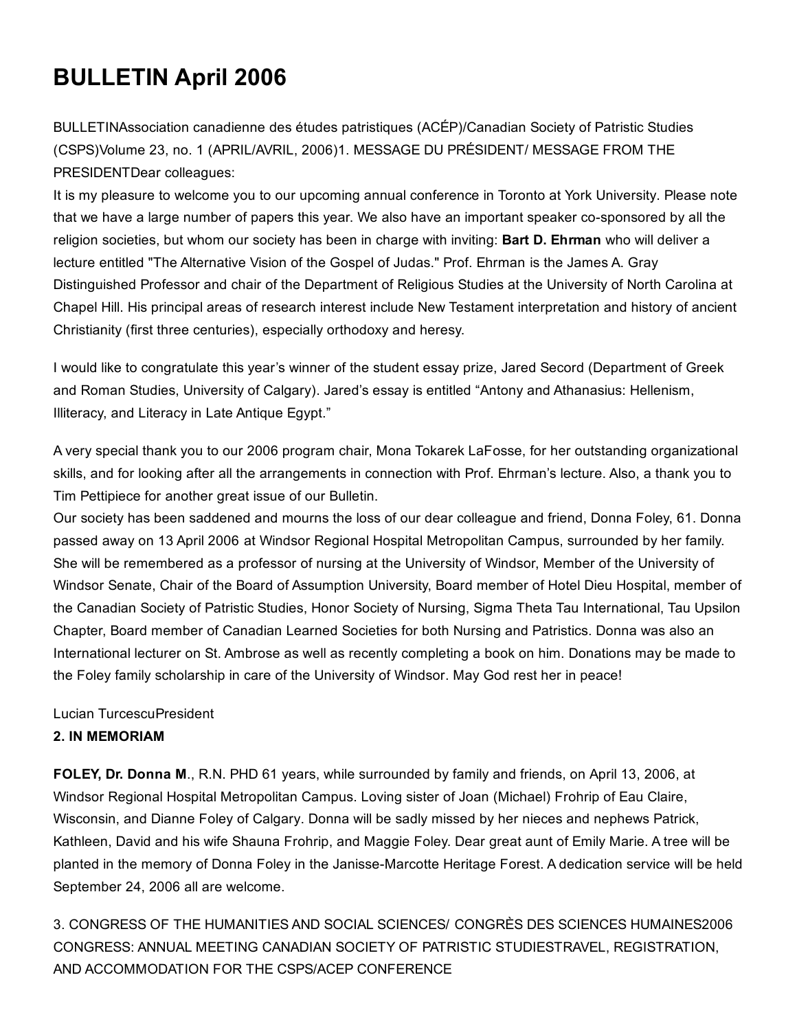# BULLETIN April 2006

BULLETINAssociation canadienne des études patristiques (ACÉP)/Canadian Society of Patristic Studies (CSPS)Volume 23, no. 1 (APRIL/AVRIL, 2006)1. MESSAGE DU PRÉSIDENT/ MESSAGE FROM THE PRESIDENTDear colleagues:

It is my pleasure to welcome you to our upcoming annual conference in Toronto at York University. Please note that we have a large number of papers this year. We also have an important speaker co-sponsored by all the religion societies, but whom our society has been in charge with inviting: **Bart D. Ehrman** who will deliver a lecture entitled "The Alternative Vision of the Gospel of Judas." Prof. Ehrman is the James A. Gray Distinguished Professor and chair of the Department of Religious Studies at the University of North Carolina at Chapel Hill. His principal areas of research interest include New Testament interpretation and history of ancient Christianity (first three centuries), especially orthodoxy and heresy.

I would like to congratulate this year's winner of the student essay prize, Jared Secord (Department of Greek and Roman Studies, University of Calgary). Jared's essay is entitled "Antony and Athanasius: Hellenism, Illiteracy, and Literacy in Late Antique Egypt."

A very special thank you to our 2006 program chair, Mona Tokarek LaFosse, for her outstanding organizational skills, and for looking after all the arrangements in connection with Prof. Ehrman's lecture. Also, a thank you to Tim Pettipiece for another great issue of our Bulletin.

Our society has been saddened and mourns the loss of our dear colleague and friend, Donna Foley, 61. Donna passed away on 13 April 2006 at Windsor Regional Hospital Metropolitan Campus, surrounded by her family. She will be remembered as a professor of nursing at the University of Windsor, Member of the University of Windsor Senate, Chair of the Board of Assumption University, Board member of Hotel Dieu Hospital, member of the Canadian Society of Patristic Studies, Honor Society of Nursing, Sigma Theta Tau International, Tau Upsilon Chapter, Board member of Canadian Learned Societies for both Nursing and Patristics. Donna was also an International lecturer on St. Ambrose as well as recently completing a book on him. Donations may be made to the Foley family scholarship in care of the University of Windsor. May God rest her in peace!

Lucian TurcescuPresident

## 2. IN MEMORIAM

FOLEY, Dr. Donna M., R.N. PHD 61 years, while surrounded by family and friends, on April 13, 2006, at Windsor Regional Hospital Metropolitan Campus. Loving sister of Joan (Michael) Frohrip of Eau Claire, Wisconsin, and Dianne Foley of Calgary. Donna will be sadly missed by her nieces and nephews Patrick, Kathleen, David and his wife Shauna Frohrip, and Maggie Foley. Dear great aunt of Emily Marie. A tree will be planted in the memory of Donna Foley in the Janisse-Marcotte Heritage Forest. A dedication service will be held September 24, 2006 all are welcome.

3. CONGRESS OF THE HUMANITIES AND SOCIAL SCIENCES/ CONGRÈS DES SCIENCES HUMAINES2006 CONGRESS: ANNUAL MEETING CANADIAN SOCIETY OF PATRISTIC STUDIESTRAVEL, REGISTRATION, AND ACCOMMODATION FOR THE CSPS/ACEP CONFERENCE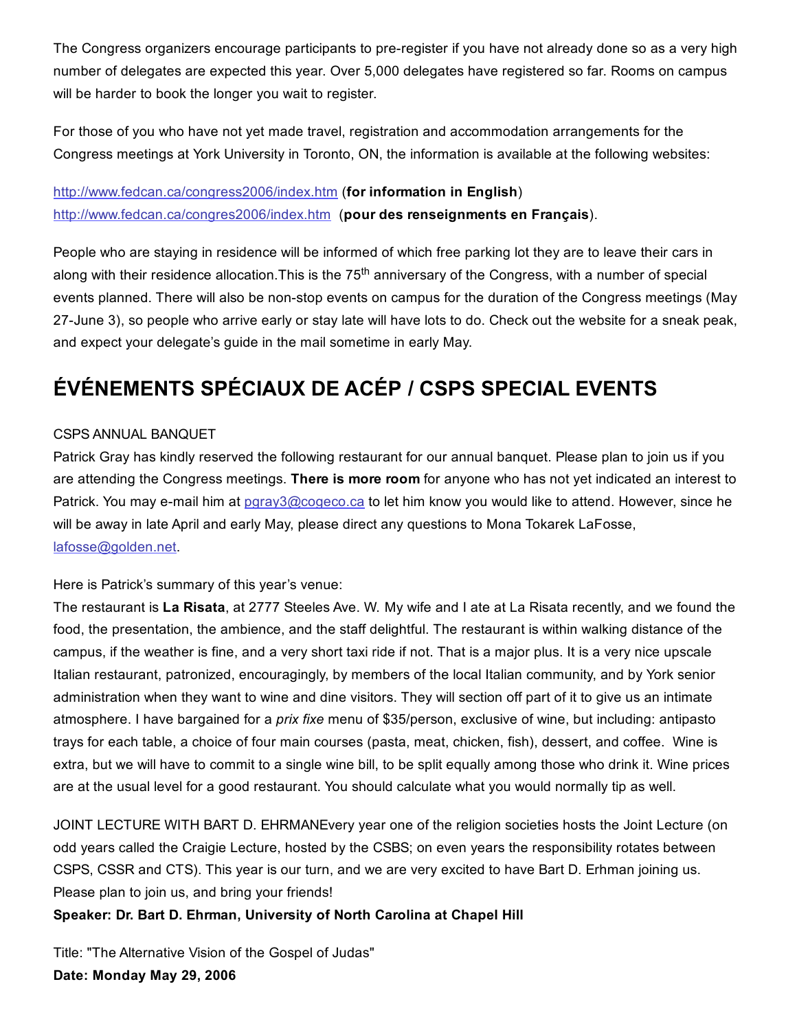The Congress organizers encourage participants to pre-register if you have not already done so as a very high number of delegates are expected this year. Over 5,000 delegates have registered so far. Rooms on campus will be harder to book the longer you wait to register.

For those of you who have not yet made travel, registration and accommodation arrangements for the Congress meetings at York University in Toronto, ON, the information is available at the following websites:

# [http://www.fedcan.ca/congress2006/index.htm](http://web.archive.org/web/20150201000916/http://www.fedcan.ca/congress2006/index.htm) (for information in English) [http://www.fedcan.ca/congres2006/index.htm](http://web.archive.org/web/20150201000916/http://www.fedcan.ca/congres2006/index.htm) (pour des renseignments en Français).

People who are staying in residence will be informed of which free parking lot they are to leave their cars in along with their residence allocation. This is the 75<sup>th</sup> anniversary of the Congress, with a number of special events planned. There will also be non-stop events on campus for the duration of the Congress meetings (May 27-June 3), so people who arrive early or stay late will have lots to do. Check out the website for a sneak peak, and expect your delegate's guide in the mail sometime in early May.

# ÉVÉNEMENTS SPÉCIAUX DE ACÉP / CSPS SPECIAL EVENTS

#### CSPS ANNUAL BANQUET

Patrick Gray has kindly reserved the following restaurant for our annual banquet. Please plan to join us if you are attending the Congress meetings. There is more room for anyone who has not yet indicated an interest to Patrick. You may e-mail him at paray3@cogeco.ca to let him know you would like to attend. However, since he will be away in late April and early May, please direct any questions to Mona Tokarek LaFosse, [lafosse@golden.net.](mailto:lafosse@golden.net)

Here is Patrick's summary of this year's venue:

The restaurant is La Risata, at 2777 Steeles Ave. W. My wife and I ate at La Risata recently, and we found the food, the presentation, the ambience, and the staff delightful. The restaurant is within walking distance of the campus, if the weather is fine, and a very short taxi ride if not. That is a major plus. It is a very nice upscale Italian restaurant, patronized, encouragingly, by members of the local Italian community, and by York senior administration when they want to wine and dine visitors. They will section off part of it to give us an intimate atmosphere. I have bargained for a *prix fixe* menu of \$35/person, exclusive of wine, but including: antipasto trays for each table, a choice of four main courses (pasta, meat, chicken, fish), dessert, and coffee. Wine is extra, but we will have to commit to a single wine bill, to be split equally among those who drink it. Wine prices are at the usual level for a good restaurant. You should calculate what you would normally tip as well.

JOINT LECTURE WITH BART D. EHRMANEvery year one of the religion societies hosts the Joint Lecture (on odd years called the Craigie Lecture, hosted by the CSBS; on even years the responsibility rotates between CSPS, CSSR and CTS). This year is our turn, and we are very excited to have Bart D. Erhman joining us. Please plan to join us, and bring your friends!

#### Speaker: Dr. Bart D. Ehrman, University of North Carolina at Chapel Hill

Title: "The Alternative Vision of the Gospel of Judas" Date: Monday May 29, 2006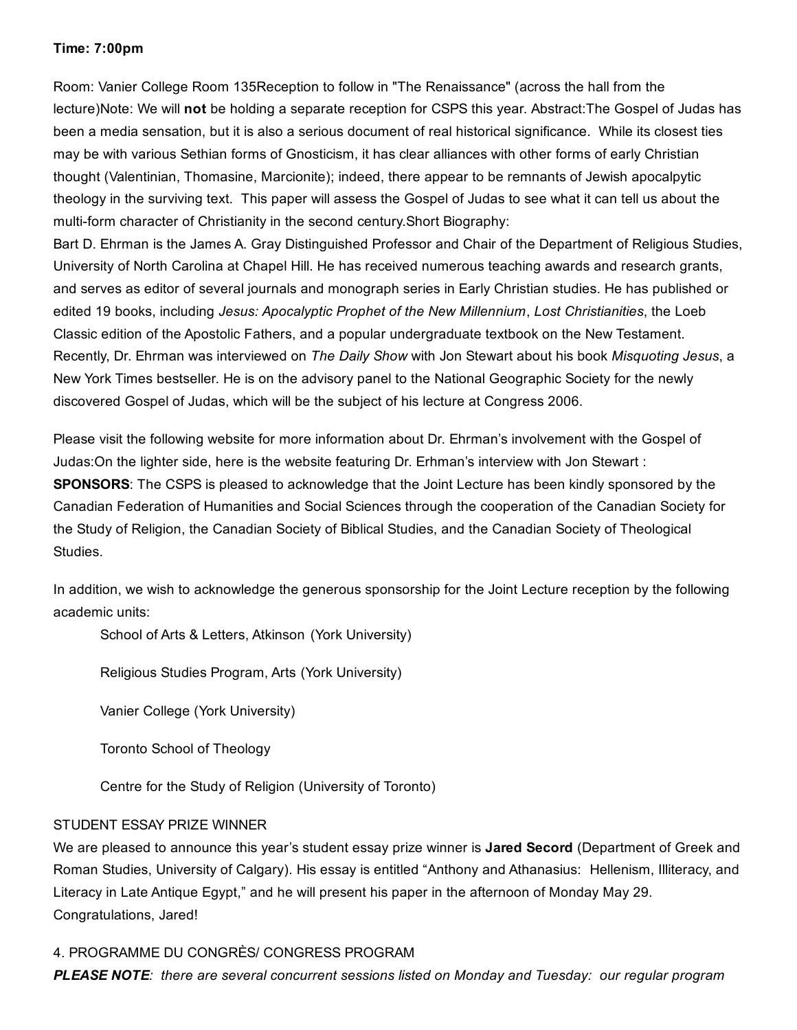#### Time: 7:00pm

Room: Vanier College Room 135Reception to follow in "The Renaissance" (across the hall from the lecture)Note: We will not be holding a separate reception for CSPS this year. Abstract:The Gospel of Judas has been a media sensation, but it is also a serious document of real historical significance. While its closest ties may be with various Sethian forms of Gnosticism, it has clear alliances with other forms of early Christian thought (Valentinian, Thomasine, Marcionite); indeed, there appear to be remnants of Jewish apocalpytic theology in the surviving text. This paper will assess the Gospel of Judas to see what it can tell us about the multi-form character of Christianity in the second century.Short Biography:

Bart D. Ehrman is the James A. Gray Distinguished Professor and Chair of the Department of Religious Studies, University of North Carolina at Chapel Hill. He has received numerous teaching awards and research grants, and serves as editor of several journals and monograph series in Early Christian studies. He has published or edited 19 books, including *Jesus: Apocalyptic Prophet of the New Millennium*, *Lost Christianities*, the Loeb Classic edition of the Apostolic Fathers, and a popular undergraduate textbook on the New Testament. Recently, Dr. Ehrman was interviewed on *The Daily Show* with Jon Stewart about his book *Misquoting Jesus*, a New York Times bestseller. He is on the advisory panel to the National Geographic Society for the newly discovered Gospel of Judas, which will be the subject of his lecture at Congress 2006.

Please visit the following website for more information about Dr. Ehrman's involvement with the Gospel of Judas:On the lighter side, here is the website featuring Dr. Erhman's interview with Jon Stewart : **SPONSORS:** The CSPS is pleased to acknowledge that the Joint Lecture has been kindly sponsored by the Canadian Federation of Humanities and Social Sciences through the cooperation of the Canadian Society for the Study of Religion, the Canadian Society of Biblical Studies, and the Canadian Society of Theological Studies.

In addition, we wish to acknowledge the generous sponsorship for the Joint Lecture reception by the following academic units:

School of Arts & Letters, Atkinson (York University)

Religious Studies Program, Arts (York University)

Vanier College (York University)

Toronto School of Theology

Centre for the Study of Religion (University of Toronto)

#### STUDENT ESSAY PRIZE WINNER

We are pleased to announce this year's student essay prize winner is Jared Secord (Department of Greek and Roman Studies, University of Calgary). His essay is entitled "Anthony and Athanasius: Hellenism, Illiteracy, and Literacy in Late Antique Egypt," and he will present his paper in the afternoon of Monday May 29. Congratulations, Jared!

#### 4. PROGRAMME DU CONGRÈS/ CONGRESS PROGRAM

*PLEASE NOTE: there are several concurrent sessions listed on Monday and Tuesday: our regular program*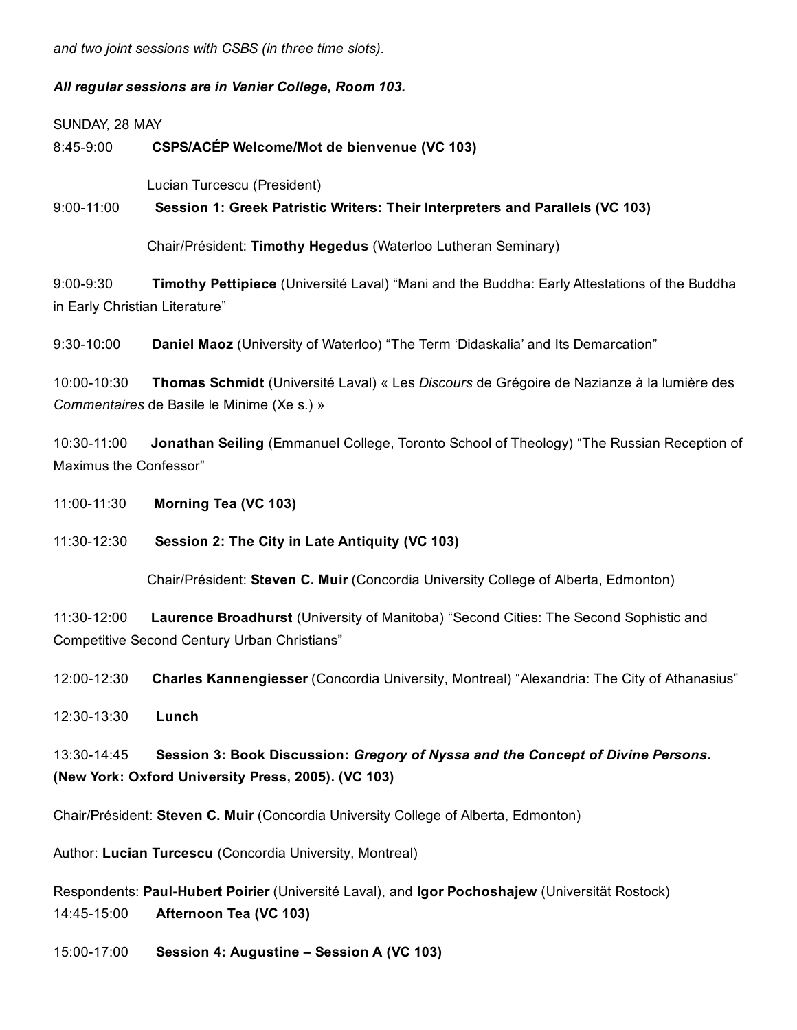*and two joint sessions with CSBS (in three time slots).*

*All regular sessions are in Vanier College, Room 103.*

SUNDAY, 28 MAY

8:45-9:00 CSPS/ACÉP Welcome/Mot de bienvenue (VC 103)

Lucian Turcescu (President)

9:00-11:00 Session 1: Greek Patristic Writers: Their Interpreters and Parallels (VC 103)

Chair/Président: Timothy Hegedus (Waterloo Lutheran Seminary)

9:00-9:30 Timothy Pettipiece (Université Laval) "Mani and the Buddha: Early Attestations of the Buddha in Early Christian Literature"

9:30-10:00 Daniel Maoz (University of Waterloo) "The Term 'Didaskalia' and Its Demarcation"

10:0010:30 Thomas Schmidt (Université Laval) « Les *Discours* de Grégoire de Nazianze à la lumière des *Commentaires* de Basile le Minime (Xe s.) »

10:30-11:00 **Jonathan Seiling** (Emmanuel College, Toronto School of Theology) "The Russian Reception of Maximus the Confessor"

11:0011:30 Morning Tea (VC 103)

11:30-12:30 Session 2: The City in Late Antiquity (VC 103)

Chair/Président: Steven C. Muir (Concordia University College of Alberta, Edmonton)

11:30-12:00 Laurence Broadhurst (University of Manitoba) "Second Cities: The Second Sophistic and Competitive Second Century Urban Christians"

12:00-12:30 Charles Kannengiesser (Concordia University, Montreal) "Alexandria: The City of Athanasius"

12:30-13:30 **Lunch** 

13:3014:45 Session 3: Book Discussion: *Gregory of Nyssa and the Concept of Divine Persons*. (New York: Oxford University Press, 2005). (VC 103)

Chair/Président: Steven C. Muir (Concordia University College of Alberta, Edmonton)

Author: Lucian Turcescu (Concordia University, Montreal)

Respondents: Paul-Hubert Poirier (Université Laval), and Igor Pochoshajew (Universität Rostock) 14:45-15:00 Afternoon Tea (VC 103)

15:0017:00 Session 4: Augustine – Session A (VC 103)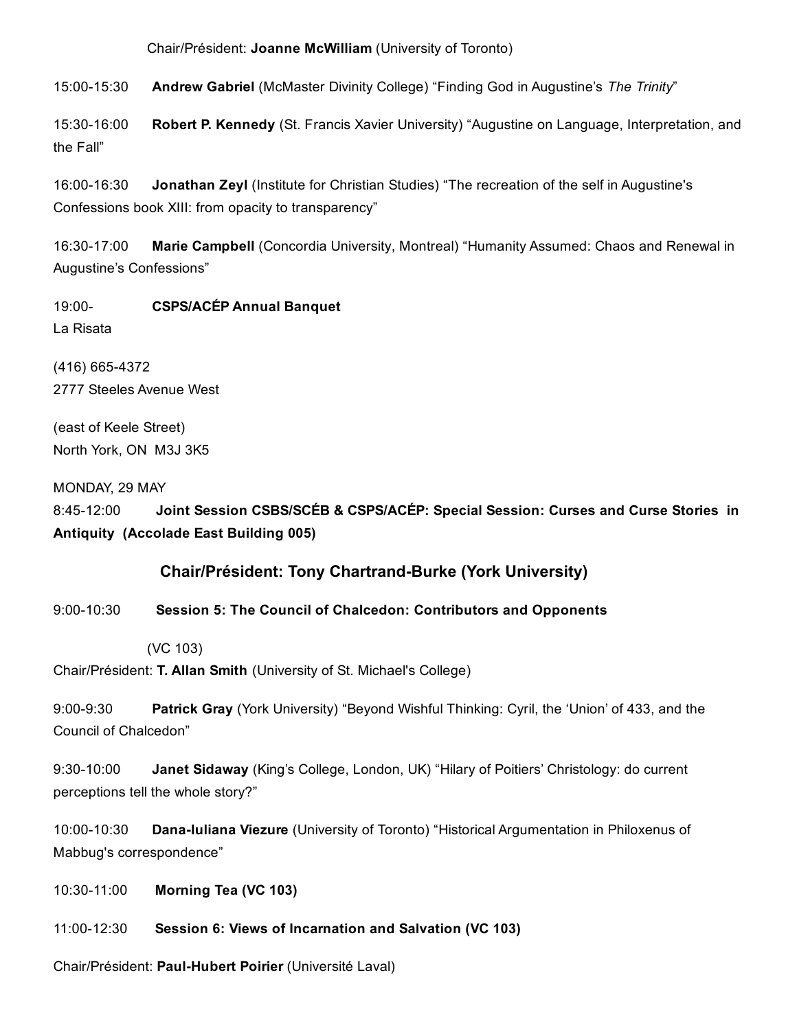Chair/Président: Joanne McWilliam (University of Toronto)

15:00-15:30 Andrew Gabriel (McMaster Divinity College) "Finding God in Augustine's The Trinity"

15:30-16:00 Robert P. Kennedy (St. Francis Xavier University) "Augustine on Language, Interpretation, and the Fall"

16:00-16:30 Jonathan Zeyl (Institute for Christian Studies) "The recreation of the self in Augustine's Confessions book XIII: from opacity to transparency"

16:30-17:00 Marie Campbell (Concordia University, Montreal) "Humanity Assumed: Chaos and Renewal in Augustine's Confessions"

19:00- CSPS/ACÉP Annual Banquet La Risata

(416) 665-4372 2777 Steeles Avenue West

(east of Keele Street) North York, ON M3J 3K5

MONDAY, 29 MAY

8:45-12:00 Joint Session CSBS/SCÉB & CSPS/ACÉP: Special Session: Curses and Curse Stories in Antiquity (Accolade East Building 005)

# Chair/Président: Tony Chartrand-Burke (York University)

9:00-10:30 Session 5: The Council of Chalcedon: Contributors and Opponents

(VC 103)

Chair/Président: T. Allan Smith (University of St. Michael's College)

9:00-9:30 Patrick Gray (York University) "Beyond Wishful Thinking: Cyril, the 'Union' of 433, and the Council of Chalcedon"

9:30-10:00 **Janet Sidaway** (King's College, London, UK) "Hilary of Poitiers' Christology: do current perceptions tell the whole story?"

10:00-10:30 Dana-Iuliana Viezure (University of Toronto) "Historical Argumentation in Philoxenus of Mabbug's correspondence"

10:3011:00 Morning Tea (VC 103)

11:00-12:30 Session 6: Views of Incarnation and Salvation (VC 103)

Chair/Président: Paul-Hubert Poirier (Université Laval)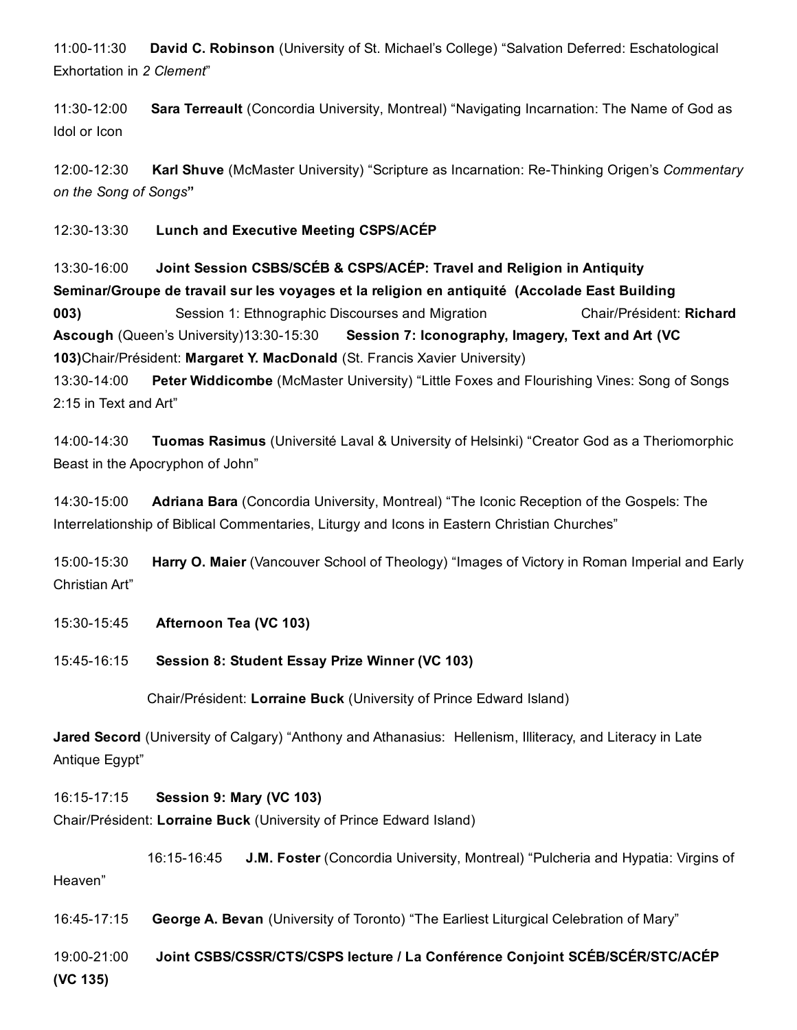11:00-11:30 David C. Robinson (University of St. Michael's College) "Salvation Deferred: Eschatological Exhortation in *2 Clement*"

11:30-12:00 Sara Terreault (Concordia University, Montreal) "Navigating Incarnation: The Name of God as Idol or Icon

12:00-12:30 **Karl Shuve** (McMaster University) "Scripture as Incarnation: Re-Thinking Origen's *Commentary on the Song of Songs*"

12:30-13:30 Lunch and Executive Meeting CSPS/ACÉP

13:30-16:00 Joint Session CSBS/SCÉB & CSPS/ACÉP: Travel and Religion in Antiquity Seminar/Groupe de travail sur les voyages et la religion en antiquité (Accolade East Building **003)** Session 1: Ethnographic Discourses and Migration Chair/Président: Richard Ascough (Queen's University)13:30-15:30 Session 7: Iconography, Imagery, Text and Art (VC 103)Chair/Président: Margaret Y. MacDonald (St. Francis Xavier University) 13:30-14:00 Peter Widdicombe (McMaster University) "Little Foxes and Flourishing Vines: Song of Songs

2:15 in Text and Art"

14:00-14:30 Tuomas Rasimus (Université Laval & University of Helsinki) "Creator God as a Theriomorphic Beast in the Apocryphon of John"

14:30-15:00 Adriana Bara (Concordia University, Montreal) "The Iconic Reception of the Gospels: The Interrelationship of Biblical Commentaries, Liturgy and Icons in Eastern Christian Churches"

15:00-15:30 Harry O. Maier (Vancouver School of Theology) "Images of Victory in Roman Imperial and Early Christian Art"

15:30-15:45 Afternoon Tea (VC 103)

15:4516:15 Session 8: Student Essay Prize Winner (VC 103)

Chair/Président: Lorraine Buck (University of Prince Edward Island)

Jared Secord (University of Calgary) "Anthony and Athanasius: Hellenism, Illiteracy, and Literacy in Late Antique Egypt"

16:1517:15 Session 9: Mary (VC 103) Chair/Président: Lorraine Buck (University of Prince Edward Island)

16:15-16:45 J.M. Foster (Concordia University, Montreal) "Pulcheria and Hypatia: Virgins of Heaven"

16:45-17:15 George A. Bevan (University of Toronto) "The Earliest Liturgical Celebration of Mary"

19:0021:00 Joint CSBS/CSSR/CTS/CSPS lecture / La Conférence Conjoint SCÉB/SCÉR/STC/ACÉP (VC 135)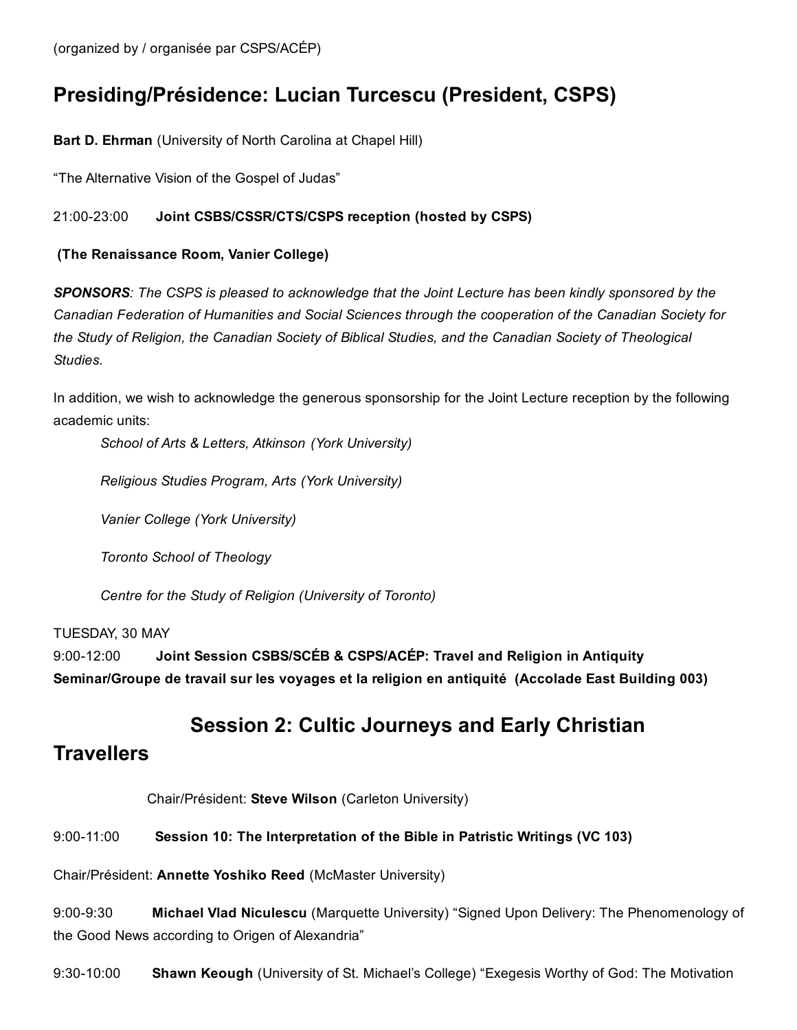# Presiding/Présidence: Lucian Turcescu (President, CSPS)

Bart D. Ehrman (University of North Carolina at Chapel Hill)

"The Alternative Vision of the Gospel of Judas"

### 21:00-23:00 Joint CSBS/CSSR/CTS/CSPS reception (hosted by CSPS)

### (The Renaissance Room, Vanier College)

*SPONSORS: The CSPS is pleased to acknowledge that the Joint Lecture has been kindly sponsored by the Canadian Federation of Humanities and Social Sciences through the cooperation of the Canadian Society for the Study of Religion, the Canadian Society of Biblical Studies, and the Canadian Society of Theological Studies.*

In addition, we wish to acknowledge the generous sponsorship for the Joint Lecture reception by the following academic units:

*School of Arts & Letters, Atkinson (York University)*

*Religious Studies Program, Arts (York University)*

*Vanier College (York University)*

*Toronto School of Theology*

*Centre for the Study of Religion (University of Toronto)*

#### TUESDAY, 30 MAY

9:00-12:00 Joint Session CSBS/SCÉB & CSPS/ACÉP: Travel and Religion in Antiquity Seminar/Groupe de travail sur les voyages et la religion en antiquité (Accolade East Building 003)

# Session 2: Cultic Journeys and Early Christian

# **Travellers**

Chair/Président: Steve Wilson (Carleton University)

## 9:0011:00 Session 10: The Interpretation of the Bible in Patristic Writings (VC 103)

Chair/Président: Annette Yoshiko Reed (McMaster University)

9:00-9:30 Michael Vlad Niculescu (Marquette University) "Signed Upon Delivery: The Phenomenology of the Good News according to Origen of Alexandria"

9:30-10:00 **Shawn Keough** (University of St. Michael's College) "Exegesis Worthy of God: The Motivation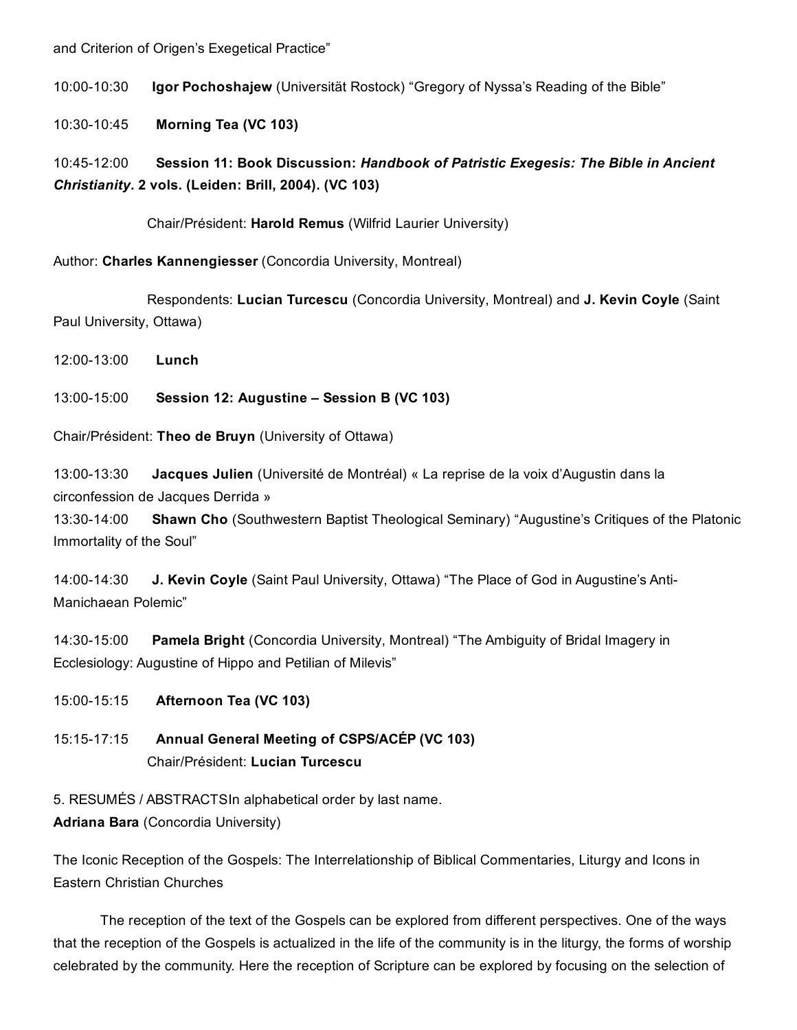#### and Criterion of Origen's Exegetical Practice"

10:00-10:30 Igor Pochoshajew (Universität Rostock) "Gregory of Nyssa's Reading of the Bible"

10:3010:45 Morning Tea (VC 103)

# 10:4512:00 Session 11: Book Discussion: *Handbook of Patristic Exegesis: The Bible in Ancient Christianity*. 2 vols. (Leiden: Brill, 2004). (VC 103)

Chair/Président: Harold Remus (Wilfrid Laurier University)

Author: Charles Kannengiesser (Concordia University, Montreal)

Respondents: Lucian Turcescu (Concordia University, Montreal) and J. Kevin Coyle (Saint Paul University, Ottawa)

12:00-13:00 **Lunch** 

13:00-15:00 Session 12: Augustine – Session B (VC 103)

Chair/Président: Theo de Bruyn (University of Ottawa)

13:00-13:30 **Jacques Julien** (Université de Montréal) « La reprise de la voix d'Augustin dans la circonfession de Jacques Derrida »

13:30-14:00 Shawn Cho (Southwestern Baptist Theological Seminary) "Augustine's Critiques of the Platonic Immortality of the Soul"

14:00-14:30 J. Kevin Coyle (Saint Paul University, Ottawa) "The Place of God in Augustine's Anti-Manichaean Polemic"

14:30-15:00 Pamela Bright (Concordia University, Montreal) "The Ambiguity of Bridal Imagery in Ecclesiology: Augustine of Hippo and Petilian of Milevis"

- 15:00-15:15 Afternoon Tea (VC 103)
- 15:1517:15 Annual General Meeting of CSPS/ACÉP (VC 103) Chair/Président: Lucian Turcescu

5. RESUMÉS / ABSTRACTSIn alphabetical order by last name.

Adriana Bara (Concordia University)

The Iconic Reception of the Gospels: The Interrelationship of Biblical Commentaries, Liturgy and Icons in Eastern Christian Churches

The reception of the text of the Gospels can be explored from different perspectives. One of the ways that the reception of the Gospels is actualized in the life of the community is in the liturgy, the forms of worship celebrated by the community. Here the reception of Scripture can be explored by focusing on the selection of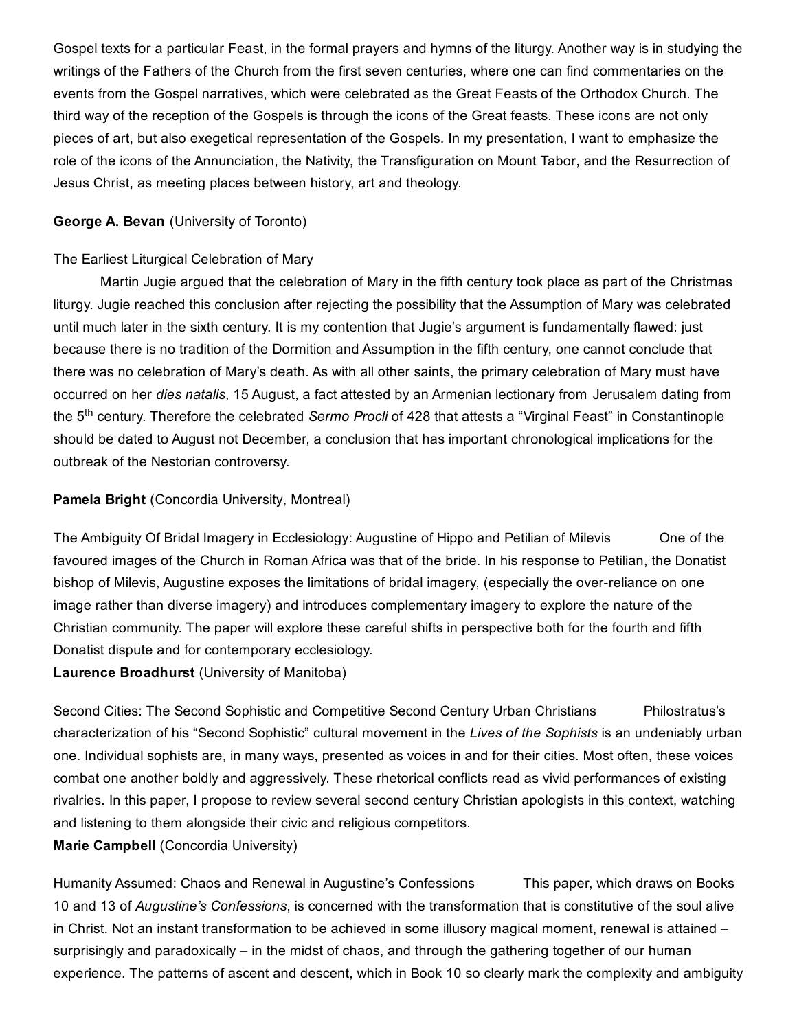Gospel texts for a particular Feast, in the formal prayers and hymns of the liturgy. Another way is in studying the writings of the Fathers of the Church from the first seven centuries, where one can find commentaries on the events from the Gospel narratives, which were celebrated as the Great Feasts of the Orthodox Church. The third way of the reception of the Gospels is through the icons of the Great feasts. These icons are not only pieces of art, but also exegetical representation of the Gospels. In my presentation, I want to emphasize the role of the icons of the Annunciation, the Nativity, the Transfiguration on Mount Tabor, and the Resurrection of Jesus Christ, as meeting places between history, art and theology.

#### George A. Bevan (University of Toronto)

#### The Earliest Liturgical Celebration of Mary

Martin Jugie argued that the celebration of Mary in the fifth century took place as part of the Christmas liturgy. Jugie reached this conclusion after rejecting the possibility that the Assumption of Mary was celebrated until much later in the sixth century. It is my contention that Jugie's argument is fundamentally flawed: just because there is no tradition of the Dormition and Assumption in the fifth century, one cannot conclude that there was no celebration of Mary's death. As with all other saints, the primary celebration of Mary must have occurred on her *dies natalis*, 15 August, a fact attested by an Armenian lectionary from Jerusalem dating from the 5<sup>th</sup> century. Therefore the celebrated *Sermo Procli* of 428 that attests a "Virginal Feast" in Constantinople should be dated to August not December, a conclusion that has important chronological implications for the outbreak of the Nestorian controversy.

#### Pamela Bright (Concordia University, Montreal)

The Ambiguity Of Bridal Imagery in Ecclesiology: Augustine of Hippo and Petilian of Milevis One of the favoured images of the Church in Roman Africa was that of the bride. In his response to Petilian, the Donatist bishop of Milevis, Augustine exposes the limitations of bridal imagery, (especially the over-reliance on one image rather than diverse imagery) and introduces complementary imagery to explore the nature of the Christian community. The paper will explore these careful shifts in perspective both for the fourth and fifth Donatist dispute and for contemporary ecclesiology.

Laurence Broadhurst (University of Manitoba)

Second Cities: The Second Sophistic and Competitive Second Century Urban Christians Philostratus's characterization of his "Second Sophistic" cultural movement in the *Lives of the Sophists* is an undeniably urban one. Individual sophists are, in many ways, presented as voices in and for their cities. Most often, these voices combat one another boldly and aggressively. These rhetorical conflicts read as vivid performances of existing rivalries. In this paper, I propose to review several second century Christian apologists in this context, watching and listening to them alongside their civic and religious competitors.

#### Marie Campbell (Concordia University)

Humanity Assumed: Chaos and Renewal in Augustine's Confessions This paper, which draws on Books 10 and 13 of *Augustine's Confessions*, is concerned with the transformation that is constitutive of the soul alive in Christ. Not an instant transformation to be achieved in some illusory magical moment, renewal is attained – surprisingly and paradoxically – in the midst of chaos, and through the gathering together of our human experience. The patterns of ascent and descent, which in Book 10 so clearly mark the complexity and ambiguity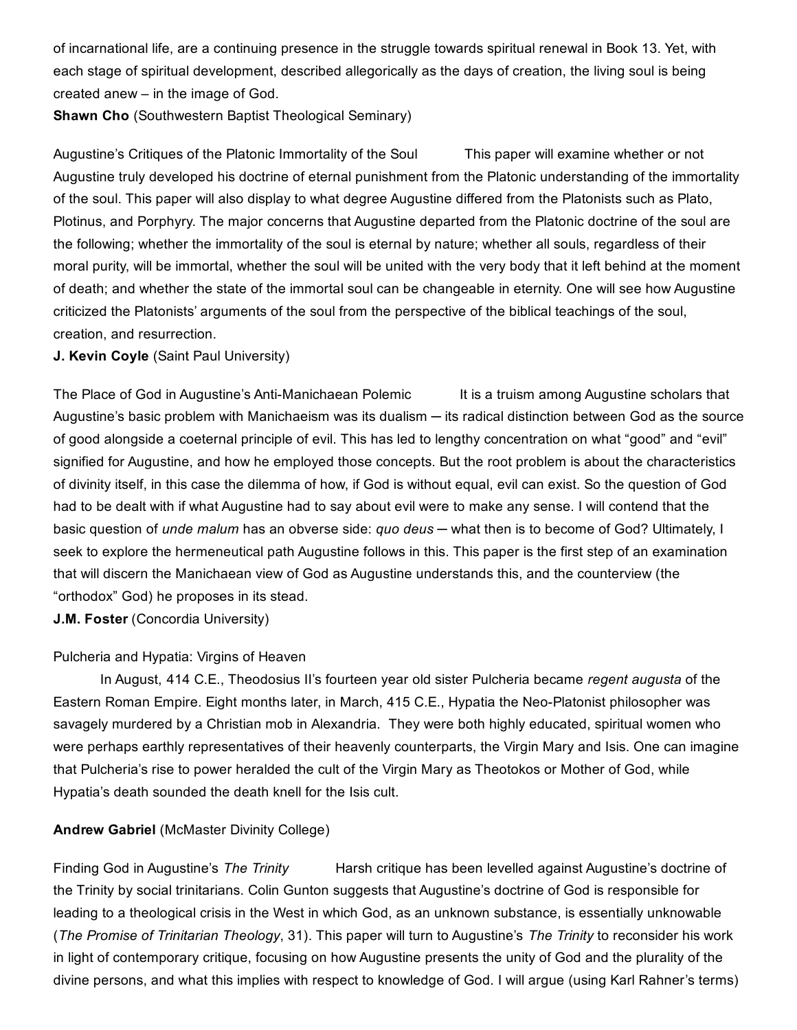of incarnational life, are a continuing presence in the struggle towards spiritual renewal in Book 13. Yet, with each stage of spiritual development, described allegorically as the days of creation, the living soul is being created anew – in the image of God.

Shawn Cho (Southwestern Baptist Theological Seminary)

Augustine's Critiques of the Platonic Immortality of the Soul This paper will examine whether or not Augustine truly developed his doctrine of eternal punishment from the Platonic understanding of the immortality of the soul. This paper will also display to what degree Augustine differed from the Platonists such as Plato, Plotinus, and Porphyry. The major concerns that Augustine departed from the Platonic doctrine of the soul are the following; whether the immortality of the soul is eternal by nature; whether all souls, regardless of their moral purity, will be immortal, whether the soul will be united with the very body that it left behind at the moment of death; and whether the state of the immortal soul can be changeable in eternity. One will see how Augustine criticized the Platonists' arguments of the soul from the perspective of the biblical teachings of the soul, creation, and resurrection.

#### J. Kevin Coyle (Saint Paul University)

The Place of God in Augustine's Anti-Manichaean Polemic It is a truism among Augustine scholars that Augustine's basic problem with Manichaeism was its dualism — its radical distinction between God as the source of good alongside a coeternal principle of evil. This has led to lengthy concentration on what "good" and "evil" signified for Augustine, and how he employed those concepts. But the root problem is about the characteristics of divinity itself, in this case the dilemma of how, if God is without equal, evil can exist. So the question of God had to be dealt with if what Augustine had to say about evil were to make any sense. I will contend that the basic question of *unde malum* has an obverse side: *quo deus* ─ what then is to become of God? Ultimately, I seek to explore the hermeneutical path Augustine follows in this. This paper is the first step of an examination that will discern the Manichaean view of God as Augustine understands this, and the counterview (the "orthodox" God) he proposes in its stead.

J.M. Foster (Concordia University)

#### Pulcheria and Hypatia: Virgins of Heaven

In August, 414 C.E., Theodosius II's fourteen year old sister Pulcheria became *regent augusta* of the Eastern Roman Empire. Eight months later, in March, 415 C.E., Hypatia the Neo-Platonist philosopher was savagely murdered by a Christian mob in Alexandria. They were both highly educated, spiritual women who were perhaps earthly representatives of their heavenly counterparts, the Virgin Mary and Isis. One can imagine that Pulcheria's rise to power heralded the cult of the Virgin Mary as Theotokos or Mother of God, while Hypatia's death sounded the death knell for the Isis cult.

#### Andrew Gabriel (McMaster Divinity College)

Finding God in Augustine's *The Trinity* Harsh critique has been levelled against Augustine's doctrine of the Trinity by social trinitarians. Colin Gunton suggests that Augustine's doctrine of God is responsible for leading to a theological crisis in the West in which God, as an unknown substance, is essentially unknowable (*The Promise of Trinitarian Theology*, 31). This paper will turn to Augustine's *The Trinity* to reconsider his work in light of contemporary critique, focusing on how Augustine presents the unity of God and the plurality of the divine persons, and what this implies with respect to knowledge of God. I will argue (using Karl Rahner's terms)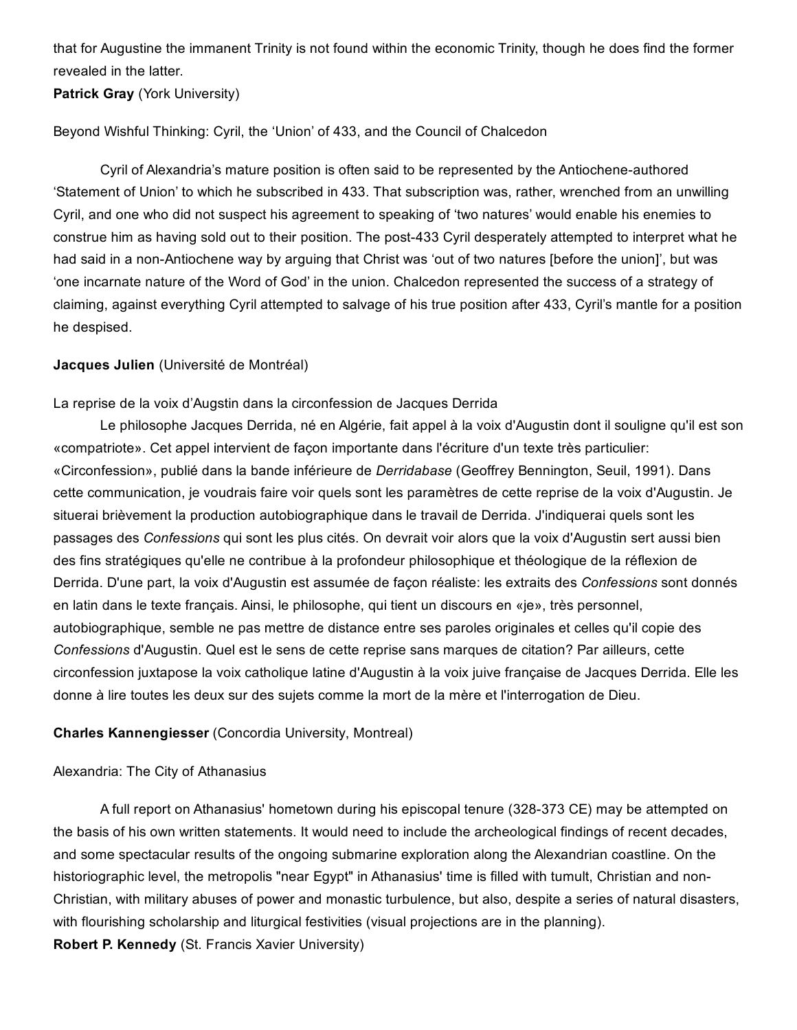that for Augustine the immanent Trinity is not found within the economic Trinity, though he does find the former revealed in the latter.

Patrick Gray (York University)

Beyond Wishful Thinking: Cyril, the 'Union' of 433, and the Council of Chalcedon

Cyril of Alexandria's mature position is often said to be represented by the Antiochene-authored 'Statement of Union' to which he subscribed in 433. That subscription was, rather, wrenched from an unwilling Cyril, and one who did not suspect his agreement to speaking of 'two natures' would enable his enemies to construe him as having sold out to their position. The post-433 Cyril desperately attempted to interpret what he had said in a non-Antiochene way by arguing that Christ was 'out of two natures [before the union]', but was 'one incarnate nature of the Word of God' in the union. Chalcedon represented the success of a strategy of claiming, against everything Cyril attempted to salvage of his true position after 433, Cyril's mantle for a position he despised.

#### Jacques Julien (Université de Montréal)

#### La reprise de la voix d'Augstin dans la circonfession de Jacques Derrida

Le philosophe Jacques Derrida, né en Algérie, fait appel à la voix d'Augustin dont il souligne qu'il est son «compatriote». Cet appel intervient de façon importante dans l'écriture d'un texte très particulier: «Circonfession», publié dans la bande inférieure de *Derridabase* (Geoffrey Bennington, Seuil, 1991). Dans cette communication, je voudrais faire voir quels sont les paramètres de cette reprise de la voix d'Augustin. Je situerai brièvement la production autobiographique dans le travail de Derrida. J'indiquerai quels sont les passages des *Confessions* qui sont les plus cités. On devrait voir alors que la voix d'Augustin sert aussi bien des fins stratégiques qu'elle ne contribue à la profondeur philosophique et théologique de la réflexion de Derrida. D'une part, la voix d'Augustin est assumée de façon réaliste: les extraits des *Confessions* sont donnés en latin dans le texte français. Ainsi, le philosophe, qui tient un discours en «je», très personnel, autobiographique, semble ne pas mettre de distance entre ses paroles originales et celles qu'il copie des *Confessions* d'Augustin. Quel est le sens de cette reprise sans marques de citation? Par ailleurs, cette circonfession juxtapose la voix catholique latine d'Augustin à la voix juive française de Jacques Derrida. Elle les donne à lire toutes les deux sur des sujets comme la mort de la mère et l'interrogation de Dieu.

#### Charles Kannengiesser (Concordia University, Montreal)

#### Alexandria: The City of Athanasius

A full report on Athanasius' hometown during his episcopal tenure (328-373 CE) may be attempted on the basis of his own written statements. It would need to include the archeological findings of recent decades, and some spectacular results of the ongoing submarine exploration along the Alexandrian coastline. On the historiographic level, the metropolis "near Egypt" in Athanasius' time is filled with tumult, Christian and non-Christian, with military abuses of power and monastic turbulence, but also, despite a series of natural disasters, with flourishing scholarship and liturgical festivities (visual projections are in the planning). Robert P. Kennedy (St. Francis Xavier University)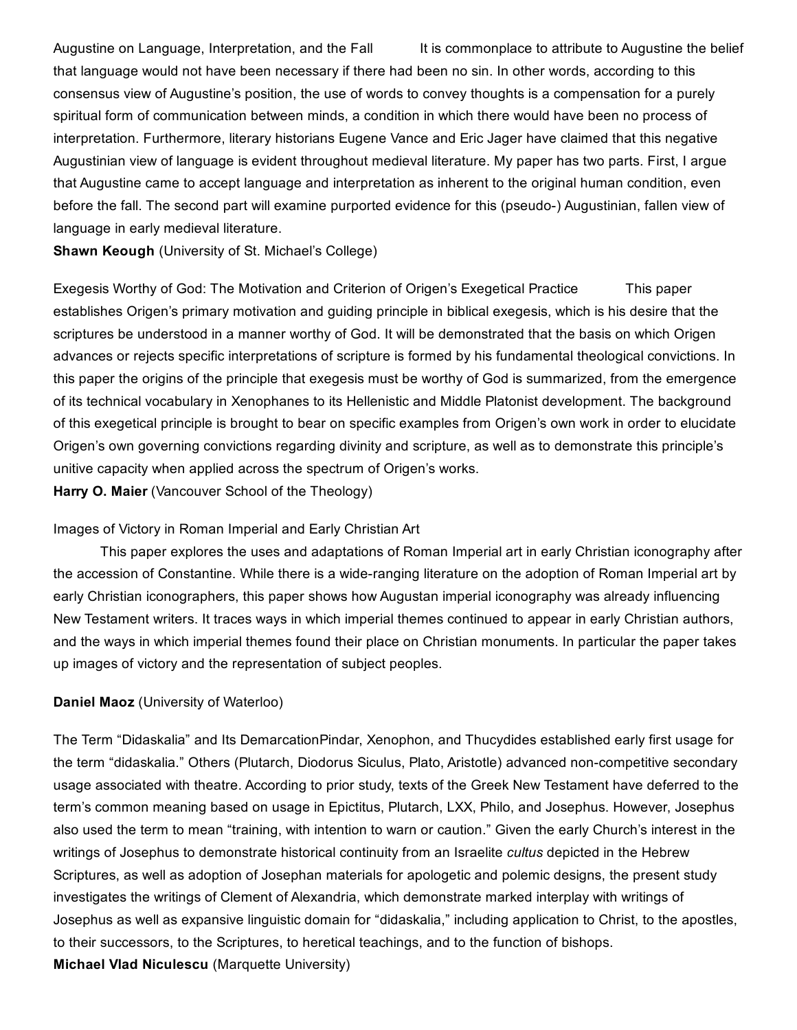Augustine on Language, Interpretation, and the Fall It is commonplace to attribute to Augustine the belief that language would not have been necessary if there had been no sin. In other words, according to this consensus view of Augustine's position, the use of words to convey thoughts is a compensation for a purely spiritual form of communication between minds, a condition in which there would have been no process of interpretation. Furthermore, literary historians Eugene Vance and Eric Jager have claimed that this negative Augustinian view of language is evident throughout medieval literature. My paper has two parts. First, I argue that Augustine came to accept language and interpretation as inherent to the original human condition, even before the fall. The second part will examine purported evidence for this (pseudo-) Augustinian, fallen view of language in early medieval literature.

Shawn Keough (University of St. Michael's College)

Exegesis Worthy of God: The Motivation and Criterion of Origen's Exegetical Practice This paper establishes Origen's primary motivation and guiding principle in biblical exegesis, which is his desire that the scriptures be understood in a manner worthy of God. It will be demonstrated that the basis on which Origen advances or rejects specific interpretations of scripture is formed by his fundamental theological convictions. In this paper the origins of the principle that exegesis must be worthy of God is summarized, from the emergence of its technical vocabulary in Xenophanes to its Hellenistic and Middle Platonist development. The background of this exegetical principle is brought to bear on specific examples from Origen's own work in order to elucidate Origen's own governing convictions regarding divinity and scripture, as well as to demonstrate this principle's unitive capacity when applied across the spectrum of Origen's works.

Harry O. Maier (Vancouver School of the Theology)

#### Images of Victory in Roman Imperial and Early Christian Art

This paper explores the uses and adaptations of Roman Imperial art in early Christian iconography after the accession of Constantine. While there is a wide-ranging literature on the adoption of Roman Imperial art by early Christian iconographers, this paper shows how Augustan imperial iconography was already influencing New Testament writers. It traces ways in which imperial themes continued to appear in early Christian authors, and the ways in which imperial themes found their place on Christian monuments. In particular the paper takes up images of victory and the representation of subject peoples.

#### Daniel Maoz (University of Waterloo)

The Term "Didaskalia" and Its DemarcationPindar, Xenophon, and Thucydides established early first usage for the term "didaskalia." Others (Plutarch, Diodorus Siculus, Plato, Aristotle) advanced noncompetitive secondary usage associated with theatre. According to prior study, texts of the Greek New Testament have deferred to the term's common meaning based on usage in Epictitus, Plutarch, LXX, Philo, and Josephus. However, Josephus also used the term to mean "training, with intention to warn or caution." Given the early Church's interest in the writings of Josephus to demonstrate historical continuity from an Israelite *cultus* depicted in the Hebrew Scriptures, as well as adoption of Josephan materials for apologetic and polemic designs, the present study investigates the writings of Clement of Alexandria, which demonstrate marked interplay with writings of Josephus as well as expansive linguistic domain for "didaskalia," including application to Christ, to the apostles, to their successors, to the Scriptures, to heretical teachings, and to the function of bishops. Michael Vlad Niculescu (Marquette University)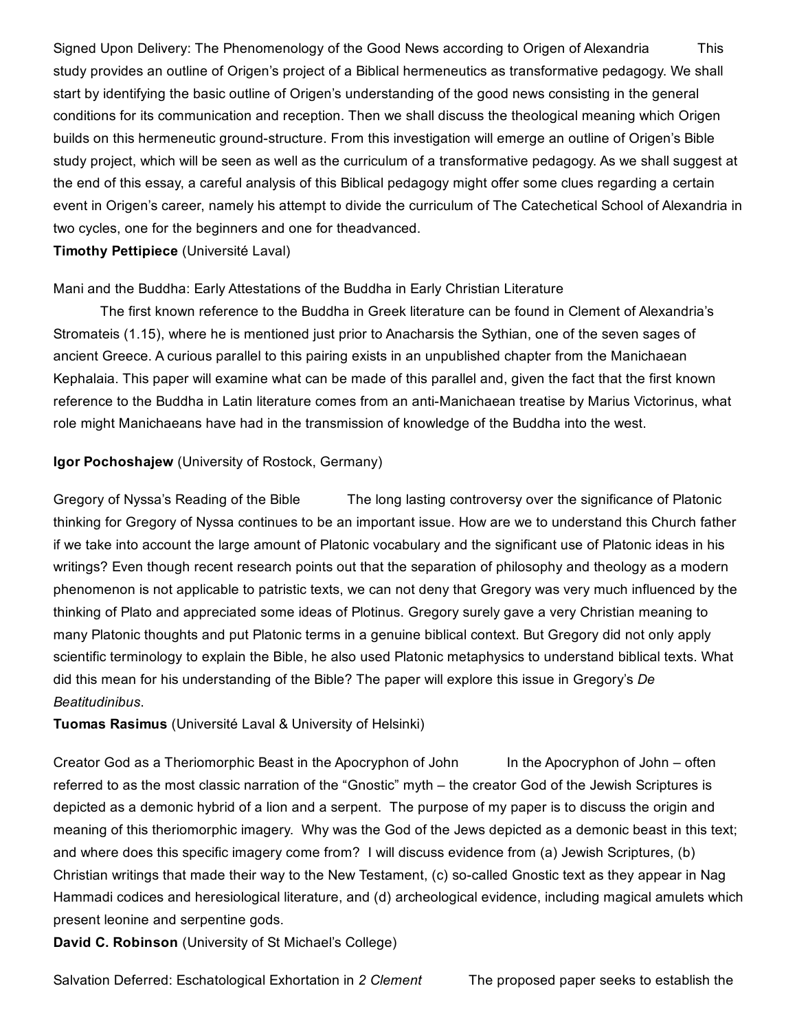Signed Upon Delivery: The Phenomenology of the Good News according to Origen of Alexandria This study provides an outline of Origen's project of a Biblical hermeneutics as transformative pedagogy. We shall start by identifying the basic outline of Origen's understanding of the good news consisting in the general conditions for its communication and reception. Then we shall discuss the theological meaning which Origen builds on this hermeneutic ground-structure. From this investigation will emerge an outline of Origen's Bible study project, which will be seen as well as the curriculum of a transformative pedagogy. As we shall suggest at the end of this essay, a careful analysis of this Biblical pedagogy might offer some clues regarding a certain event in Origen's career, namely his attempt to divide the curriculum of The Catechetical School of Alexandria in two cycles, one for the beginners and one for theadvanced.

#### Timothy Pettipiece (Université Laval)

#### Mani and the Buddha: Early Attestations of the Buddha in Early Christian Literature

The first known reference to the Buddha in Greek literature can be found in Clement of Alexandria's Stromateis (1.15), where he is mentioned just prior to Anacharsis the Sythian, one of the seven sages of ancient Greece. A curious parallel to this pairing exists in an unpublished chapter from the Manichaean Kephalaia. This paper will examine what can be made of this parallel and, given the fact that the first known reference to the Buddha in Latin literature comes from an anti-Manichaean treatise by Marius Victorinus, what role might Manichaeans have had in the transmission of knowledge of the Buddha into the west.

#### Igor Pochoshajew (University of Rostock, Germany)

Gregory of Nyssa's Reading of the Bible The long lasting controversy over the significance of Platonic thinking for Gregory of Nyssa continues to be an important issue. How are we to understand this Church father if we take into account the large amount of Platonic vocabulary and the significant use of Platonic ideas in his writings? Even though recent research points out that the separation of philosophy and theology as a modern phenomenon is not applicable to patristic texts, we can not deny that Gregory was very much influenced by the thinking of Plato and appreciated some ideas of Plotinus. Gregory surely gave a very Christian meaning to many Platonic thoughts and put Platonic terms in a genuine biblical context. But Gregory did not only apply scientific terminology to explain the Bible, he also used Platonic metaphysics to understand biblical texts. What did this mean for his understanding of the Bible? The paper will explore this issue in Gregory's *De Beatitudinibus*.

#### Tuomas Rasimus (Université Laval & University of Helsinki)

Creator God as a Theriomorphic Beast in the Apocryphon of John In the Apocryphon of John – often referred to as the most classic narration of the "Gnostic" myth – the creator God of the Jewish Scriptures is depicted as a demonic hybrid of a lion and a serpent. The purpose of my paper is to discuss the origin and meaning of this theriomorphic imagery. Why was the God of the Jews depicted as a demonic beast in this text; and where does this specific imagery come from? I will discuss evidence from (a) Jewish Scriptures, (b) Christian writings that made their way to the New Testament, (c) so-called Gnostic text as they appear in Nag Hammadi codices and heresiological literature, and (d) archeological evidence, including magical amulets which present leonine and serpentine gods.

David C. Robinson (University of St Michael's College)

Salvation Deferred: Eschatological Exhortation in *2 Clement* The proposed paper seeks to establish the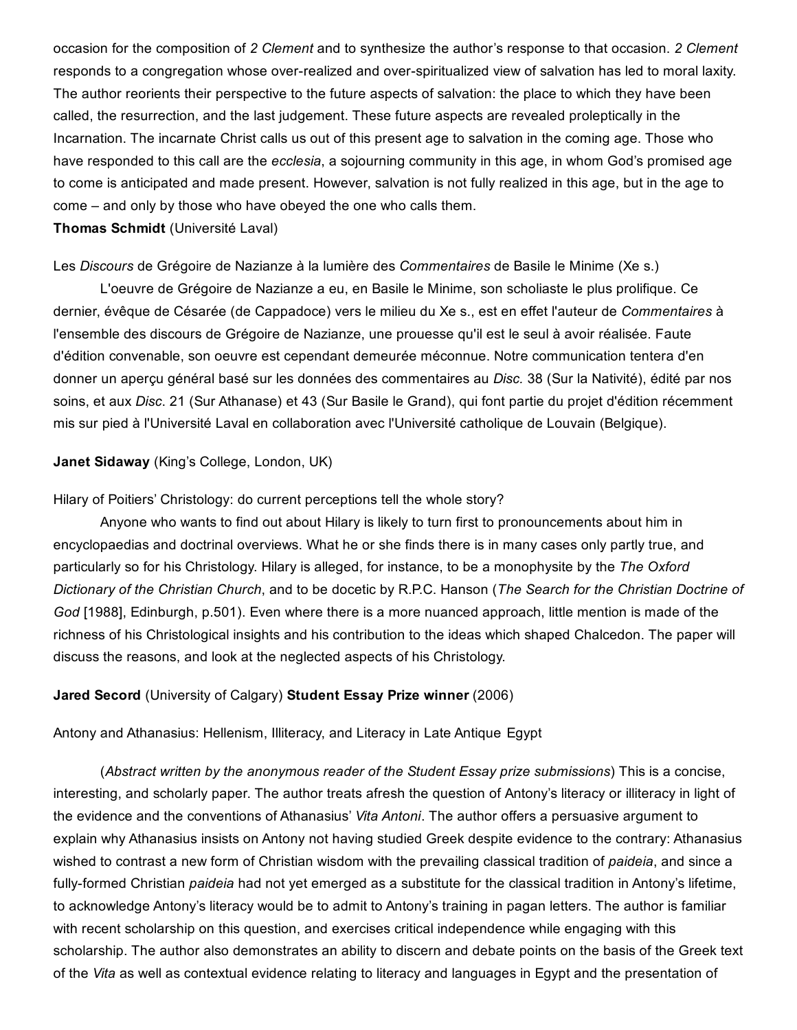occasion for the composition of *2 Clement* and to synthesize the author's response to that occasion. *2 Clement* responds to a congregation whose over-realized and over-spiritualized view of salvation has led to moral laxity. The author reorients their perspective to the future aspects of salvation: the place to which they have been called, the resurrection, and the last judgement. These future aspects are revealed proleptically in the Incarnation. The incarnate Christ calls us out of this present age to salvation in the coming age. Those who have responded to this call are the *ecclesia*, a sojourning community in this age, in whom God's promised age to come is anticipated and made present. However, salvation is not fully realized in this age, but in the age to come – and only by those who have obeyed the one who calls them.

#### Thomas Schmidt (Université Laval)

#### Les *Discours* de Grégoire de Nazianze à la lumière des *Commentaires* de Basile le Minime (Xe s.)

L'oeuvre de Grégoire de Nazianze a eu, en Basile le Minime, son scholiaste le plus prolifique. Ce dernier, évêque de Césarée (de Cappadoce) vers le milieu du Xe s., est en effet l'auteur de *Commentaires* à l'ensemble des discours de Grégoire de Nazianze, une prouesse qu'il est le seul à avoir réalisée. Faute d'édition convenable, son oeuvre est cependant demeurée méconnue. Notre communication tentera d'en donner un aperçu général basé sur les données des commentaires au *Disc.* 38 (Sur la Nativité), édité par nos soins, et aux *Disc*. 21 (Sur Athanase) et 43 (Sur Basile le Grand), qui font partie du projet d'édition récemment mis sur pied à l'Université Laval en collaboration avec l'Université catholique de Louvain (Belgique).

#### Janet Sidaway (King's College, London, UK)

#### Hilary of Poitiers' Christology: do current perceptions tell the whole story?

Anyone who wants to find out about Hilary is likely to turn first to pronouncements about him in encyclopaedias and doctrinal overviews. What he or she finds there is in many cases only partly true, and particularly so for his Christology. Hilary is alleged, for instance, to be a monophysite by the *The Oxford Dictionary of the Christian Church*, and to be docetic by R.P.C. Hanson (*The Search for the Christian Doctrine of God* [1988], Edinburgh, p.501). Even where there is a more nuanced approach, little mention is made of the richness of his Christological insights and his contribution to the ideas which shaped Chalcedon. The paper will discuss the reasons, and look at the neglected aspects of his Christology.

#### Jared Secord (University of Calgary) Student Essay Prize winner (2006)

#### Antony and Athanasius: Hellenism, Illiteracy, and Literacy in Late Antique Egypt

(*Abstract written by the anonymous reader of the Student Essay prize submissions*) This is a concise, interesting, and scholarly paper. The author treats afresh the question of Antony's literacy or illiteracy in light of the evidence and the conventions of Athanasius' *Vita Antoni*. The author offers a persuasive argument to explain why Athanasius insists on Antony not having studied Greek despite evidence to the contrary: Athanasius wished to contrast a new form of Christian wisdom with the prevailing classical tradition of *paideia*, and since a fully-formed Christian *paideia* had not yet emerged as a substitute for the classical tradition in Antony's lifetime, to acknowledge Antony's literacy would be to admit to Antony's training in pagan letters. The author is familiar with recent scholarship on this question, and exercises critical independence while engaging with this scholarship. The author also demonstrates an ability to discern and debate points on the basis of the Greek text of the *Vita* as well as contextual evidence relating to literacy and languages in Egypt and the presentation of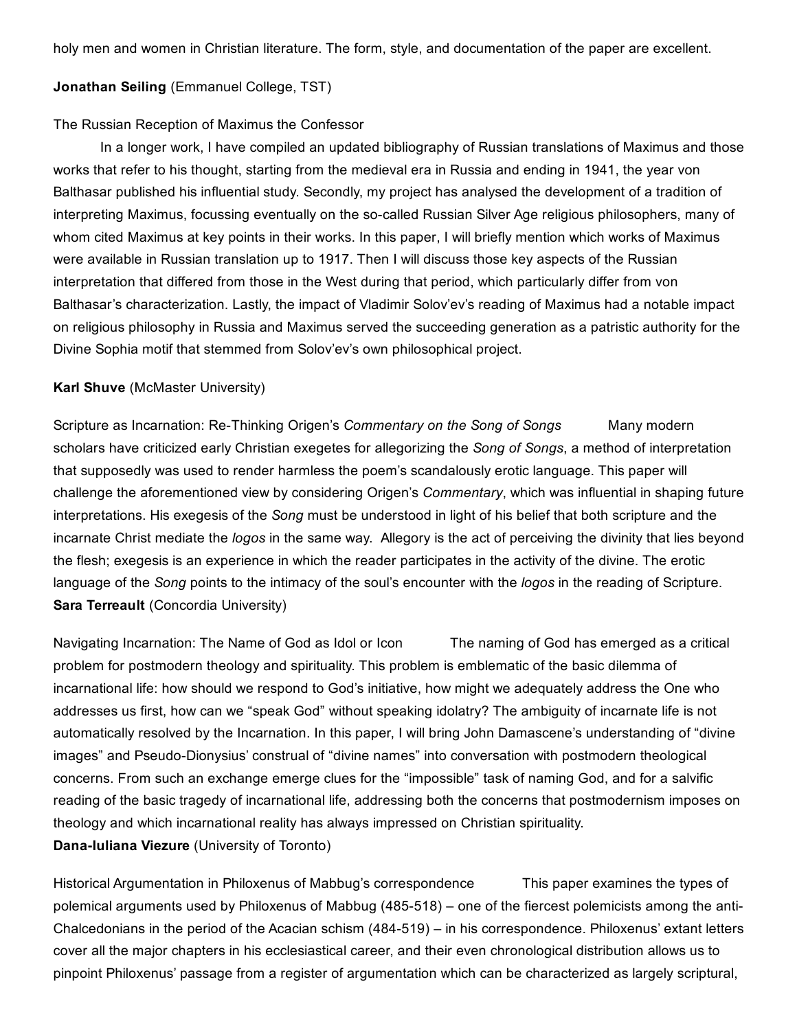holy men and women in Christian literature. The form, style, and documentation of the paper are excellent.

#### Jonathan Seiling (Emmanuel College, TST)

#### The Russian Reception of Maximus the Confessor

In a longer work, I have compiled an updated bibliography of Russian translations of Maximus and those works that refer to his thought, starting from the medieval era in Russia and ending in 1941, the year von Balthasar published his influential study. Secondly, my project has analysed the development of a tradition of interpreting Maximus, focussing eventually on the so-called Russian Silver Age religious philosophers, many of whom cited Maximus at key points in their works. In this paper, I will briefly mention which works of Maximus were available in Russian translation up to 1917. Then I will discuss those key aspects of the Russian interpretation that differed from those in the West during that period, which particularly differ from von Balthasar's characterization. Lastly, the impact of Vladimir Solov'ev's reading of Maximus had a notable impact on religious philosophy in Russia and Maximus served the succeeding generation as a patristic authority for the Divine Sophia motif that stemmed from Solov'ev's own philosophical project.

#### Karl Shuve (McMaster University)

Scripture as Incarnation: Re-Thinking Origen's *Commentary on the Song of Songs* Many modern scholars have criticized early Christian exegetes for allegorizing the *Song of Songs*, a method of interpretation that supposedly was used to render harmless the poem's scandalously erotic language. This paper will challenge the aforementioned view by considering Origen's *Commentary*, which was influential in shaping future interpretations. His exegesis of the *Song* must be understood in light of his belief that both scripture and the incarnate Christ mediate the *logos* in the same way. Allegory is the act of perceiving the divinity that lies beyond the flesh; exegesis is an experience in which the reader participates in the activity of the divine. The erotic language of the *Song* points to the intimacy of the soul's encounter with the *logos* in the reading of Scripture. Sara Terreault (Concordia University)

Navigating Incarnation: The Name of God as Idol or Icon The naming of God has emerged as a critical problem for postmodern theology and spirituality. This problem is emblematic of the basic dilemma of incarnational life: how should we respond to God's initiative, how might we adequately address the One who addresses us first, how can we "speak God" without speaking idolatry? The ambiguity of incarnate life is not automatically resolved by the Incarnation. In this paper, I will bring John Damascene's understanding of "divine images" and Pseudo-Dionysius' construal of "divine names" into conversation with postmodern theological concerns. From such an exchange emerge clues for the "impossible" task of naming God, and for a salvific reading of the basic tragedy of incarnational life, addressing both the concerns that postmodernism imposes on theology and which incarnational reality has always impressed on Christian spirituality. Dana-Iuliana Viezure (University of Toronto)

Historical Argumentation in Philoxenus of Mabbug's correspondence This paper examines the types of polemical arguments used by Philoxenus of Mabbug (485518) – one of the fiercest polemicists among the anti-Chalcedonians in the period of the Acacian schism (484-519) – in his correspondence. Philoxenus' extant letters cover all the major chapters in his ecclesiastical career, and their even chronological distribution allows us to pinpoint Philoxenus' passage from a register of argumentation which can be characterized as largely scriptural,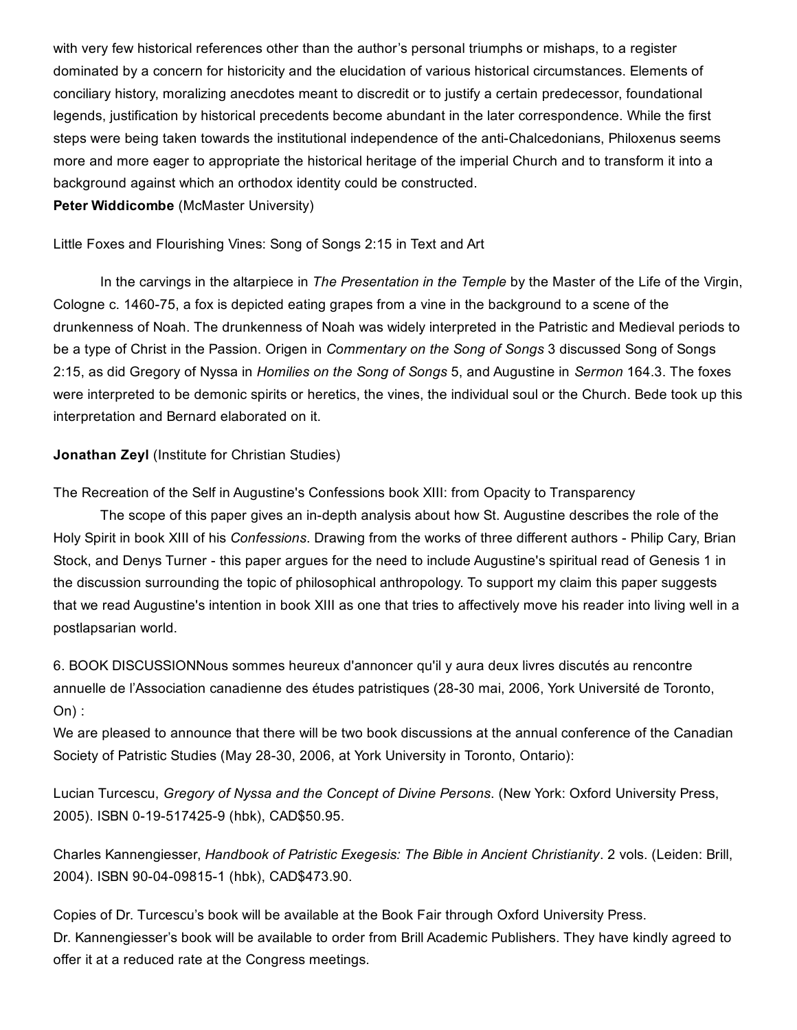with very few historical references other than the author's personal triumphs or mishaps, to a register dominated by a concern for historicity and the elucidation of various historical circumstances. Elements of conciliary history, moralizing anecdotes meant to discredit or to justify a certain predecessor, foundational legends, justification by historical precedents become abundant in the later correspondence. While the first steps were being taken towards the institutional independence of the anti-Chalcedonians, Philoxenus seems more and more eager to appropriate the historical heritage of the imperial Church and to transform it into a background against which an orthodox identity could be constructed.

Peter Widdicombe (McMaster University)

Little Foxes and Flourishing Vines: Song of Songs 2:15 in Text and Art

In the carvings in the altarpiece in *The Presentation in the Temple* by the Master of the Life of the Virgin, Cologne c. 1460-75, a fox is depicted eating grapes from a vine in the background to a scene of the drunkenness of Noah. The drunkenness of Noah was widely interpreted in the Patristic and Medieval periods to be a type of Christ in the Passion. Origen in *Commentary on the Song of Songs* 3 discussed Song of Songs 2:15, as did Gregory of Nyssa in *Homilies on the Song of Songs* 5, and Augustine in *Sermon* 164.3. The foxes were interpreted to be demonic spirits or heretics, the vines, the individual soul or the Church. Bede took up this interpretation and Bernard elaborated on it.

Jonathan Zeyl (Institute for Christian Studies)

The Recreation of the Self in Augustine's Confessions book XIII: from Opacity to Transparency

The scope of this paper gives an in-depth analysis about how St. Augustine describes the role of the Holy Spirit in book XIII of his *Confessions*. Drawing from the works of three different authors Philip Cary, Brian Stock, and Denys Turner - this paper argues for the need to include Augustine's spiritual read of Genesis 1 in the discussion surrounding the topic of philosophical anthropology. To support my claim this paper suggests that we read Augustine's intention in book XIII as one that tries to affectively move his reader into living well in a postlapsarian world.

6. BOOK DISCUSSIONNous sommes heureux d'annoncer qu'il y aura deux livres discutés au rencontre annuelle de l'Association canadienne des études patristiques (28-30 mai, 2006, York Université de Toronto,  $On):$ 

We are pleased to announce that there will be two book discussions at the annual conference of the Canadian Society of Patristic Studies (May 28-30, 2006, at York University in Toronto, Ontario):

Lucian Turcescu, *Gregory of Nyssa and the Concept of Divine Persons*. (New York: Oxford University Press, 2005). ISBN 0-19-517425-9 (hbk), CAD\$50.95.

Charles Kannengiesser, *Handbook of Patristic Exegesis: The Bible in Ancient Christianity*. 2 vols. (Leiden: Brill, 2004). ISBN 90-04-09815-1 (hbk), CAD\$473.90.

Copies of Dr. Turcescu's book will be available at the Book Fair through Oxford University Press. Dr. Kannengiesser's book will be available to order from Brill Academic Publishers. They have kindly agreed to offer it at a reduced rate at the Congress meetings.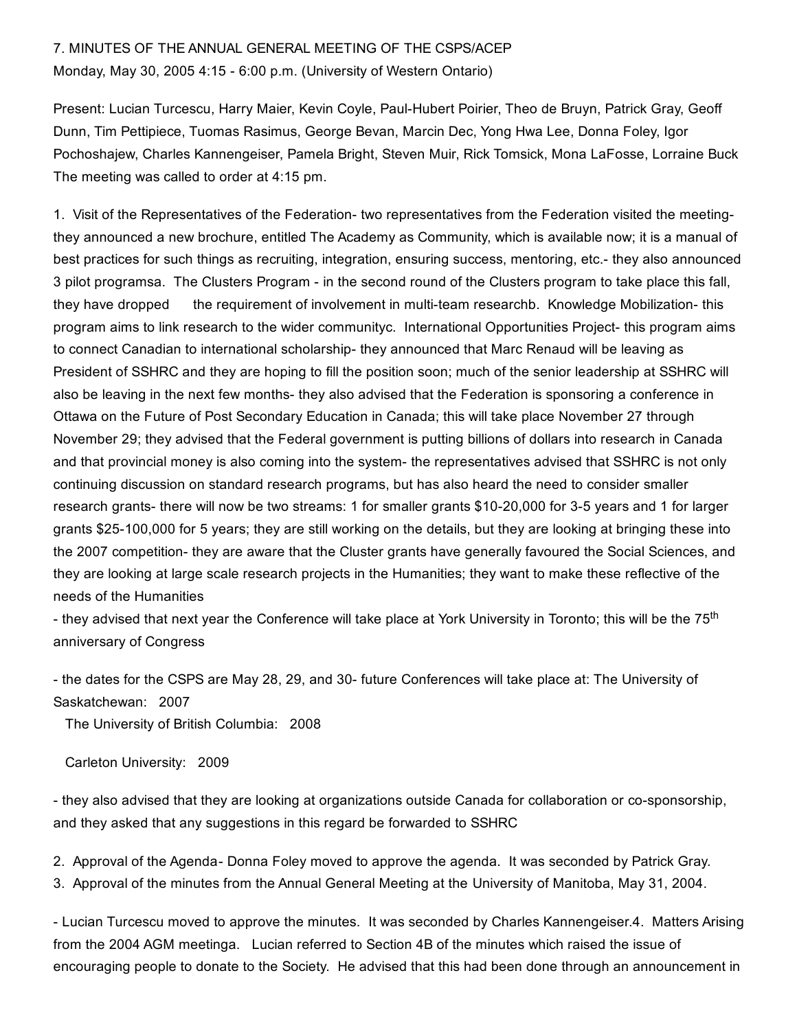# 7. MINUTES OF THE ANNUAL GENERAL MEETING OF THE CSPS/ACEP Monday, May 30, 2005 4:15 6:00 p.m. (University of Western Ontario)

Present: Lucian Turcescu, Harry Maier, Kevin Coyle, Paul-Hubert Poirier, Theo de Bruyn, Patrick Gray, Geoff Dunn, Tim Pettipiece, Tuomas Rasimus, George Bevan, Marcin Dec, Yong Hwa Lee, Donna Foley, Igor Pochoshajew, Charles Kannengeiser, Pamela Bright, Steven Muir, Rick Tomsick, Mona LaFosse, Lorraine Buck The meeting was called to order at 4:15 pm.

1. Visit of the Representatives of the Federation- two representatives from the Federation visited the meetingthey announced a new brochure, entitled The Academy as Community, which is available now; it is a manual of best practices for such things as recruiting, integration, ensuring success, mentoring, etc.- they also announced 3 pilot programsa. The Clusters Program - in the second round of the Clusters program to take place this fall, they have dropped the requirement of involvement in multi-team researchb. Knowledge Mobilization-this program aims to link research to the wider communityc. International Opportunities Project- this program aims to connect Canadian to international scholarship- they announced that Marc Renaud will be leaving as President of SSHRC and they are hoping to fill the position soon; much of the senior leadership at SSHRC will also be leaving in the next few months- they also advised that the Federation is sponsoring a conference in Ottawa on the Future of Post Secondary Education in Canada; this will take place November 27 through November 29; they advised that the Federal government is putting billions of dollars into research in Canada and that provincial money is also coming into the system- the representatives advised that SSHRC is not only continuing discussion on standard research programs, but has also heard the need to consider smaller research grants- there will now be two streams: 1 for smaller grants \$10-20,000 for 3-5 years and 1 for larger grants \$25100,000 for 5 years; they are still working on the details, but they are looking at bringing these into the 2007 competition- they are aware that the Cluster grants have generally favoured the Social Sciences, and they are looking at large scale research projects in the Humanities; they want to make these reflective of the needs of the Humanities

- they advised that next year the Conference will take place at York University in Toronto; this will be the 75<sup>th</sup> anniversary of Congress

- the dates for the CSPS are May 28, 29, and 30- future Conferences will take place at: The University of Saskatchewan: 2007

The University of British Columbia: 2008

Carleton University: 2009

- they also advised that they are looking at organizations outside Canada for collaboration or co-sponsorship, and they asked that any suggestions in this regard be forwarded to SSHRC

2. Approval of the Agenda-Donna Foley moved to approve the agenda. It was seconded by Patrick Gray. 3. Approval of the minutes from the Annual General Meeting at the University of Manitoba, May 31, 2004.

 Lucian Turcescu moved to approve the minutes. It was seconded by Charles Kannengeiser.4. Matters Arising from the 2004 AGM meetinga. Lucian referred to Section 4B of the minutes which raised the issue of encouraging people to donate to the Society. He advised that this had been done through an announcement in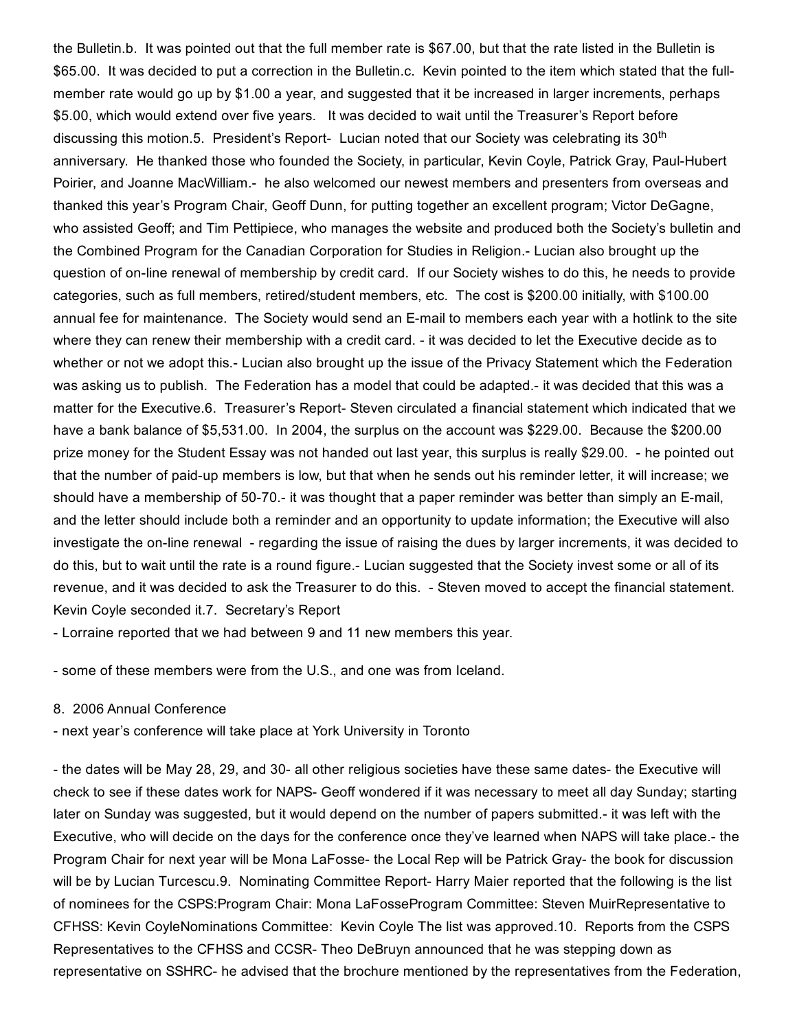the Bulletin.b. It was pointed out that the full member rate is \$67.00, but that the rate listed in the Bulletin is \$65.00. It was decided to put a correction in the Bulletin.c. Kevin pointed to the item which stated that the fullmember rate would go up by \$1.00 a year, and suggested that it be increased in larger increments, perhaps \$5.00, which would extend over five years. It was decided to wait until the Treasurer's Report before discussing this motion.5. President's Report- Lucian noted that our Society was celebrating its 30<sup>th</sup> anniversary. He thanked those who founded the Society, in particular, Kevin Coyle, Patrick Gray, Paul-Hubert Poirier, and Joanne MacWilliam.- he also welcomed our newest members and presenters from overseas and thanked this year's Program Chair, Geoff Dunn, for putting together an excellent program; Victor DeGagne, who assisted Geoff; and Tim Pettipiece, who manages the website and produced both the Society's bulletin and the Combined Program for the Canadian Corporation for Studies in Religion. Lucian also brought up the question of on-line renewal of membership by credit card. If our Society wishes to do this, he needs to provide categories, such as full members, retired/student members, etc. The cost is \$200.00 initially, with \$100.00 annual fee for maintenance. The Society would send an E-mail to members each year with a hotlink to the site where they can renew their membership with a credit card. - it was decided to let the Executive decide as to whether or not we adopt this. Lucian also brought up the issue of the Privacy Statement which the Federation was asking us to publish. The Federation has a model that could be adapted. it was decided that this was a matter for the Executive.6. Treasurer's Report-Steven circulated a financial statement which indicated that we have a bank balance of \$5,531.00. In 2004, the surplus on the account was \$229.00. Because the \$200.00 prize money for the Student Essay was not handed out last year, this surplus is really \$29.00. he pointed out that the number of paid-up members is low, but that when he sends out his reminder letter, it will increase; we should have a membership of 50-70.- it was thought that a paper reminder was better than simply an E-mail, and the letter should include both a reminder and an opportunity to update information; the Executive will also investigate the on-line renewal - regarding the issue of raising the dues by larger increments, it was decided to do this, but to wait until the rate is a round figure. Lucian suggested that the Society invest some or all of its revenue, and it was decided to ask the Treasurer to do this. - Steven moved to accept the financial statement. Kevin Coyle seconded it.7. Secretary's Report

Lorraine reported that we had between 9 and 11 new members this year.

some of these members were from the U.S., and one was from Iceland.

#### 8. 2006 Annual Conference

next year's conference will take place at York University in Toronto

- the dates will be May 28, 29, and 30- all other religious societies have these same dates- the Executive will check to see if these dates work for NAPS- Geoff wondered if it was necessary to meet all day Sunday; starting later on Sunday was suggested, but it would depend on the number of papers submitted.- it was left with the Executive, who will decide on the days for the conference once they've learned when NAPS will take place. the Program Chair for next year will be Mona LaFosse- the Local Rep will be Patrick Gray- the book for discussion will be by Lucian Turcescu.9. Nominating Committee Report- Harry Maier reported that the following is the list of nominees for the CSPS:Program Chair: Mona LaFosseProgram Committee: Steven MuirRepresentative to CFHSS: Kevin CoyleNominations Committee: Kevin Coyle The list was approved.10. Reports from the CSPS Representatives to the CFHSS and CCSR-Theo DeBruyn announced that he was stepping down as representative on SSHRC- he advised that the brochure mentioned by the representatives from the Federation,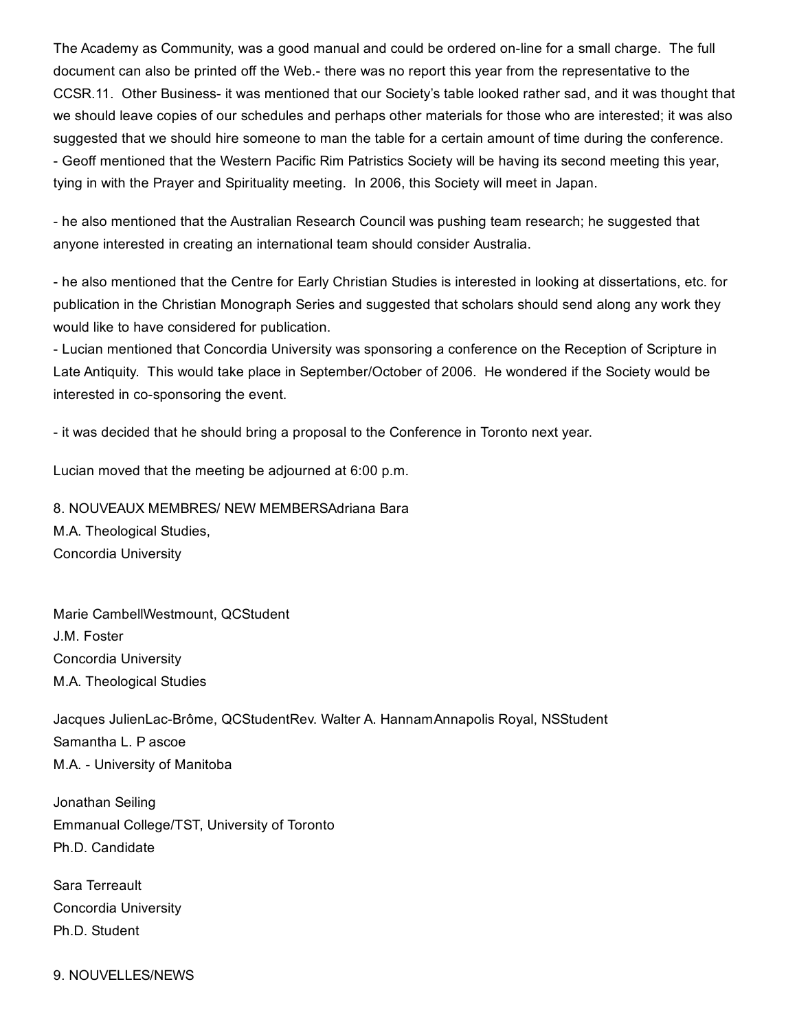The Academy as Community, was a good manual and could be ordered on-line for a small charge. The full document can also be printed off the Web.- there was no report this year from the representative to the CCSR.11. Other Business- it was mentioned that our Society's table looked rather sad, and it was thought that we should leave copies of our schedules and perhaps other materials for those who are interested; it was also suggested that we should hire someone to man the table for a certain amount of time during the conference. Geoff mentioned that the Western Pacific Rim Patristics Society will be having its second meeting this year, tying in with the Prayer and Spirituality meeting. In 2006, this Society will meet in Japan.

 he also mentioned that the Australian Research Council was pushing team research; he suggested that anyone interested in creating an international team should consider Australia.

 he also mentioned that the Centre for Early Christian Studies is interested in looking at dissertations, etc. for publication in the Christian Monograph Series and suggested that scholars should send along any work they would like to have considered for publication.

 Lucian mentioned that Concordia University was sponsoring a conference on the Reception of Scripture in Late Antiquity. This would take place in September/October of 2006. He wondered if the Society would be interested in co-sponsoring the event.

- it was decided that he should bring a proposal to the Conference in Toronto next year.

Lucian moved that the meeting be adjourned at 6:00 p.m.

8. NOUVEAUX MEMBRES/ NEW MEMBERSAdriana Bara M.A. Theological Studies, Concordia University

Marie CambellWestmount, QCStudent J.M. Foster Concordia University M.A. Theological Studies

Jacques JulienLac-Brôme, QCStudentRev. Walter A. HannamAnnapolis Royal, NSStudent Samantha L. P ascoe M.A. University of Manitoba

Jonathan Seiling Emmanual College/TST, University of Toronto Ph.D. Candidate

Sara Terreault Concordia University Ph.D. Student

9. NOUVELLES/NEWS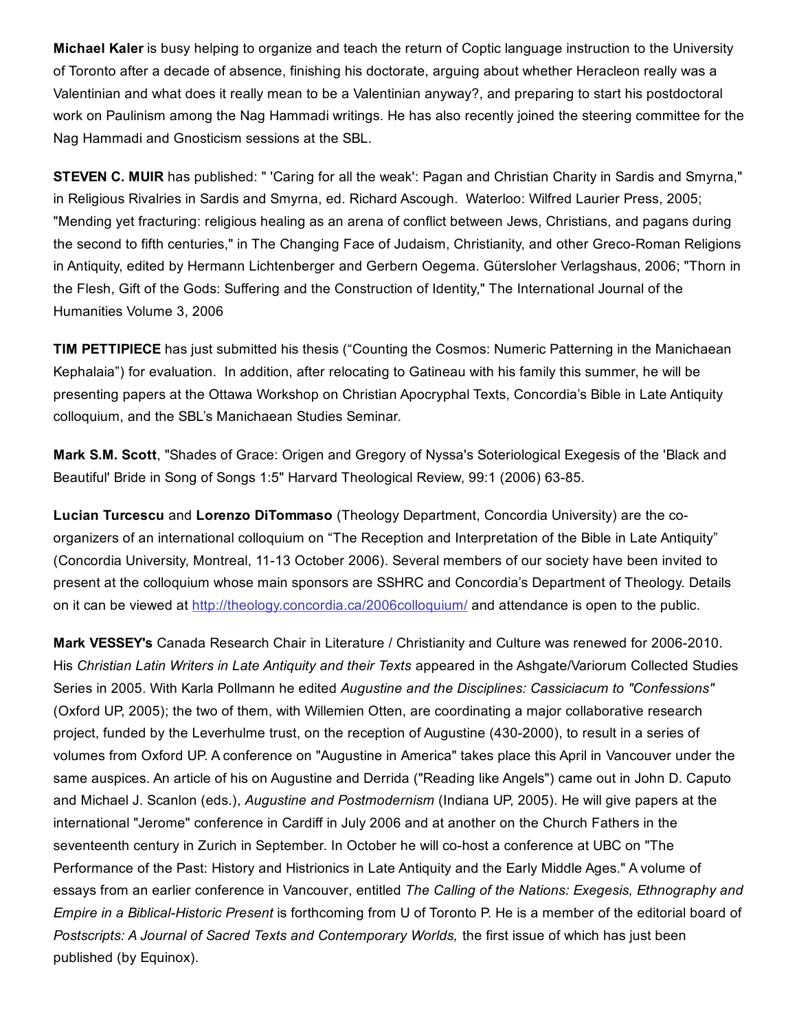Michael Kaler is busy helping to organize and teach the return of Coptic language instruction to the University of Toronto after a decade of absence, finishing his doctorate, arguing about whether Heracleon really was a Valentinian and what does it really mean to be a Valentinian anyway?, and preparing to start his postdoctoral work on Paulinism among the Nag Hammadi writings. He has also recently joined the steering committee for the Nag Hammadi and Gnosticism sessions at the SBL.

STEVEN C. MUIR has published: " 'Caring for all the weak': Pagan and Christian Charity in Sardis and Smyrna," in Religious Rivalries in Sardis and Smyrna, ed. Richard Ascough. Waterloo: Wilfred Laurier Press, 2005; "Mending yet fracturing: religious healing as an arena of conflict between Jews, Christians, and pagans during the second to fifth centuries," in The Changing Face of Judaism, Christianity, and other Greco-Roman Religions in Antiquity, edited by Hermann Lichtenberger and Gerbern Oegema. Gütersloher Verlagshaus, 2006; "Thorn in the Flesh, Gift of the Gods: Suffering and the Construction of Identity," The International Journal of the Humanities Volume 3, 2006

TIM PETTIPIECE has just submitted his thesis ("Counting the Cosmos: Numeric Patterning in the Manichaean Kephalaia") for evaluation. In addition, after relocating to Gatineau with his family this summer, he will be presenting papers at the Ottawa Workshop on Christian Apocryphal Texts, Concordia's Bible in Late Antiquity colloquium, and the SBL's Manichaean Studies Seminar.

Mark S.M. Scott, "Shades of Grace: Origen and Gregory of Nyssa's Soteriological Exegesis of the 'Black and Beautiful' Bride in Song of Songs 1:5" Harvard Theological Review, 99:1 (2006) 63-85.

Lucian Turcescu and Lorenzo DiTommaso (Theology Department, Concordia University) are the coorganizers of an international colloquium on "The Reception and Interpretation of the Bible in Late Antiquity" (Concordia University, Montreal, 1113 October 2006). Several members of our society have been invited to present at the colloquium whose main sponsors are SSHRC and Concordia's Department of Theology. Details on it can be viewed at [http://theology.concordia.ca/2006colloquium/](http://web.archive.org/web/20150201000916/http://theology.concordia.ca/2006colloquium/) and attendance is open to the public.

Mark VESSEY's Canada Research Chair in Literature / Christianity and Culture was renewed for 2006-2010. His *Christian Latin Writers in Late Antiquity and their Texts* appeared in the Ashgate/Variorum Collected Studies Series in 2005. With Karla Pollmann he edited *Augustine and the Disciplines: Cassiciacum to "Confessions"* (Oxford UP, 2005); the two of them, with Willemien Otten, are coordinating a major collaborative research project, funded by the Leverhulme trust, on the reception of Augustine (430-2000), to result in a series of volumes from Oxford UP. A conference on "Augustine in America" takes place this April in Vancouver under the same auspices. An article of his on Augustine and Derrida ("Reading like Angels") came out in John D. Caputo and Michael J. Scanlon (eds.), *Augustine and Postmodernism* (Indiana UP, 2005). He will give papers at the international "Jerome" conference in Cardiff in July 2006 and at another on the Church Fathers in the seventeenth century in Zurich in September. In October he will co-host a conference at UBC on "The Performance of the Past: History and Histrionics in Late Antiquity and the Early Middle Ages." A volume of essays from an earlier conference in Vancouver, entitled *The Calling of the Nations: Exegesis, Ethnography and Empire* in a *Biblical-Historic Present* is forthcoming from U of Toronto P. He is a member of the editorial board of *Postscripts: A Journal of Sacred Texts and Contemporary Worlds,* the first issue of which has just been published (by Equinox).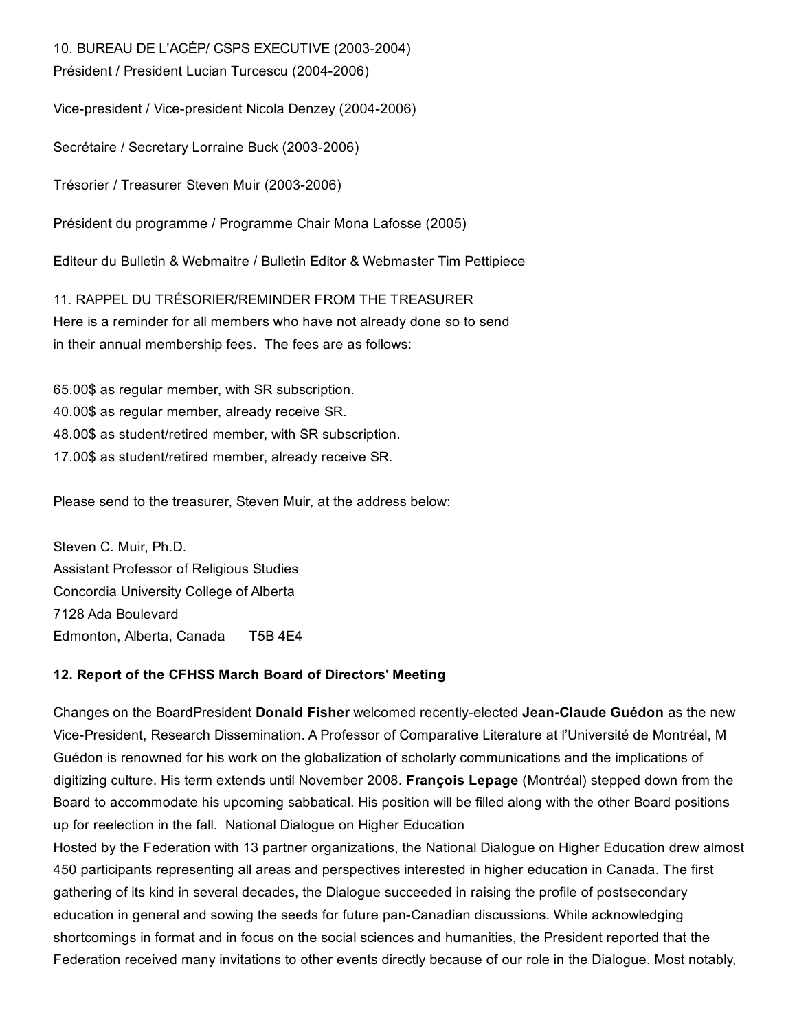10. BUREAU DE L'ACÉP/ CSPS EXECUTIVE (2003-2004)

Président / President Lucian Turcescu (2004-2006)

Vice-president / Vice-president Nicola Denzey (2004-2006)

Secrétaire / Secretary Lorraine Buck (2003-2006)

Trésorier / Treasurer Steven Muir (2003-2006)

Président du programme / Programme Chair Mona Lafosse (2005)

Editeur du Bulletin & Webmaitre / Bulletin Editor & Webmaster Tim Pettipiece

11. RAPPEL DU TRÉSORIER/REMINDER FROM THE TREASURER Here is a reminder for all members who have not already done so to send in their annual membership fees. The fees are as follows:

65.00\$ as regular member, with SR subscription. 40.00\$ as regular member, already receive SR. 48.00\$ as student/retired member, with SR subscription. 17.00\$ as student/retired member, already receive SR.

Please send to the treasurer, Steven Muir, at the address below:

Steven C. Muir, Ph.D. Assistant Professor of Religious Studies Concordia University College of Alberta 7128 Ada Boulevard Edmonton, Alberta, Canada T5B 4E4

#### 12. Report of the CFHSS March Board of Directors' Meeting

Changes on the BoardPresident Donald Fisher welcomed recently-elected Jean-Claude Guédon as the new Vice-President, Research Dissemination. A Professor of Comparative Literature at l'Université de Montréal, M Guédon is renowned for his work on the globalization of scholarly communications and the implications of digitizing culture. His term extends until November 2008. François Lepage (Montréal) stepped down from the Board to accommodate his upcoming sabbatical. His position will be filled along with the other Board positions up for reelection in the fall. National Dialogue on Higher Education

Hosted by the Federation with 13 partner organizations, the National Dialogue on Higher Education drew almost 450 participants representing all areas and perspectives interested in higher education in Canada. The first gathering of its kind in several decades, the Dialogue succeeded in raising the profile of postsecondary education in general and sowing the seeds for future pan-Canadian discussions. While acknowledging shortcomings in format and in focus on the social sciences and humanities, the President reported that the Federation received many invitations to other events directly because of our role in the Dialogue. Most notably,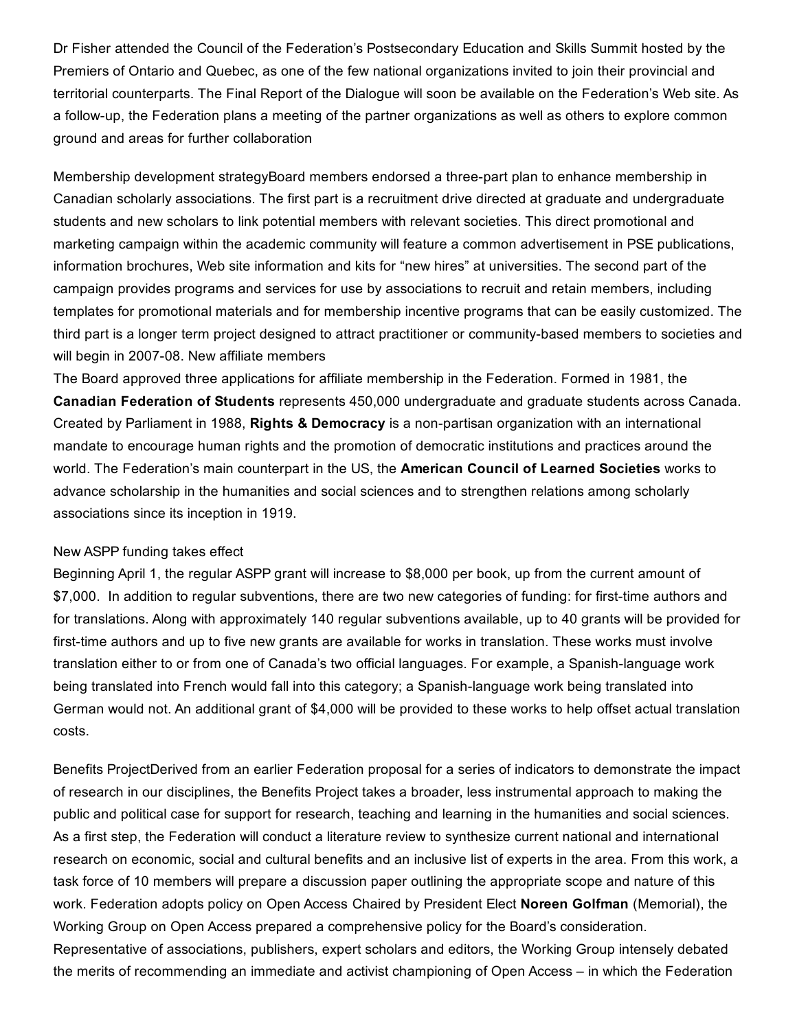Dr Fisher attended the Council of the Federation's Postsecondary Education and Skills Summit hosted by the Premiers of Ontario and Quebec, as one of the few national organizations invited to join their provincial and territorial counterparts. The Final Report of the Dialogue will soon be available on the Federation's Web site. As a followup, the Federation plans a meeting of the partner organizations as well as others to explore common ground and areas for further collaboration

Membership development strategyBoard members endorsed a three-part plan to enhance membership in Canadian scholarly associations. The first part is a recruitment drive directed at graduate and undergraduate students and new scholars to link potential members with relevant societies. This direct promotional and marketing campaign within the academic community will feature a common advertisement in PSE publications, information brochures, Web site information and kits for "new hires" at universities. The second part of the campaign provides programs and services for use by associations to recruit and retain members, including templates for promotional materials and for membership incentive programs that can be easily customized. The third part is a longer term project designed to attract practitioner or community-based members to societies and will begin in 2007-08. New affiliate members

The Board approved three applications for affiliate membership in the Federation. Formed in 1981, the Canadian Federation of Students represents 450,000 undergraduate and graduate students across Canada. Created by Parliament in 1988, Rights & Democracy is a non-partisan organization with an international mandate to encourage human rights and the promotion of democratic institutions and practices around the world. The Federation's main counterpart in the US, the American Council of Learned Societies works to advance scholarship in the humanities and social sciences and to strengthen relations among scholarly associations since its inception in 1919.

#### New ASPP funding takes effect

Beginning April 1, the regular ASPP grant will increase to \$8,000 per book, up from the current amount of \$7,000. In addition to regular subventions, there are two new categories of funding: for first-time authors and for translations. Along with approximately 140 regular subventions available, up to 40 grants will be provided for first-time authors and up to five new grants are available for works in translation. These works must involve translation either to or from one of Canada's two official languages. For example, a Spanish-language work being translated into French would fall into this category; a Spanish-language work being translated into German would not. An additional grant of \$4,000 will be provided to these works to help offset actual translation costs.

Benefits ProjectDerived from an earlier Federation proposal for a series of indicators to demonstrate the impact of research in our disciplines, the Benefits Project takes a broader, less instrumental approach to making the public and political case for support for research, teaching and learning in the humanities and social sciences. As a first step, the Federation will conduct a literature review to synthesize current national and international research on economic, social and cultural benefits and an inclusive list of experts in the area. From this work, a task force of 10 members will prepare a discussion paper outlining the appropriate scope and nature of this work. Federation adopts policy on Open Access Chaired by President Elect Noreen Golfman (Memorial), the Working Group on Open Access prepared a comprehensive policy for the Board's consideration. Representative of associations, publishers, expert scholars and editors, the Working Group intensely debated the merits of recommending an immediate and activist championing of Open Access – in which the Federation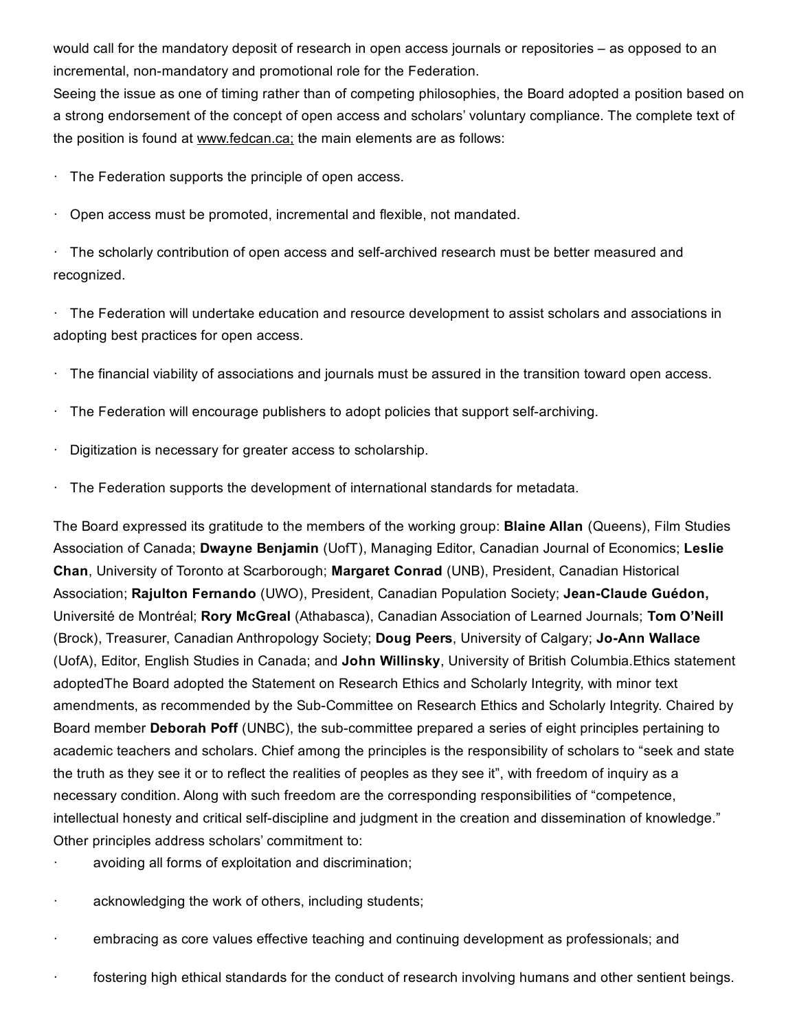would call for the mandatory deposit of research in open access journals or repositories – as opposed to an incremental, non-mandatory and promotional role for the Federation.

Seeing the issue as one of timing rather than of competing philosophies, the Board adopted a position based on a strong endorsement of the concept of open access and scholars' voluntary compliance. The complete text of the position is found at www.fedcan.ca; the main elements are as follows:

 $\cdot$  The Federation supports the principle of open access.

· Open access must be promoted, incremental and flexible, not mandated.

 $\cdot$  The scholarly contribution of open access and self-archived research must be better measured and recognized.

· The Federation will undertake education and resource development to assist scholars and associations in adopting best practices for open access.

· The financial viability of associations and journals must be assured in the transition toward open access.

- $\cdot$  The Federation will encourage publishers to adopt policies that support self-archiving.
- Digitization is necessary for greater access to scholarship.
- · The Federation supports the development of international standards for metadata.

The Board expressed its gratitude to the members of the working group: **Blaine Allan** (Queens), Film Studies Association of Canada; Dwayne Benjamin (UofT), Managing Editor, Canadian Journal of Economics; Leslie Chan, University of Toronto at Scarborough; Margaret Conrad (UNB), President, Canadian Historical Association; Rajulton Fernando (UWO), President, Canadian Population Society; Jean-Claude Guédon, Université de Montréal; Rory McGreal (Athabasca), Canadian Association of Learned Journals; Tom O'Neill (Brock), Treasurer, Canadian Anthropology Society; Doug Peers, University of Calgary; Jo-Ann Wallace (UofA), Editor, English Studies in Canada; and John Willinsky, University of British Columbia.Ethics statement adoptedThe Board adopted the Statement on Research Ethics and Scholarly Integrity, with minor text amendments, as recommended by the Sub-Committee on Research Ethics and Scholarly Integrity. Chaired by Board member Deborah Poff (UNBC), the sub-committee prepared a series of eight principles pertaining to academic teachers and scholars. Chief among the principles is the responsibility of scholars to "seek and state the truth as they see it or to reflect the realities of peoples as they see it", with freedom of inquiry as a necessary condition. Along with such freedom are the corresponding responsibilities of "competence, intellectual honesty and critical self-discipline and judgment in the creation and dissemination of knowledge." Other principles address scholars' commitment to:

- avoiding all forms of exploitation and discrimination;
- · acknowledging the work of others, including students;
- · embracing as core values effective teaching and continuing development as professionals; and
- · fostering high ethical standards for the conduct of research involving humans and other sentient beings.